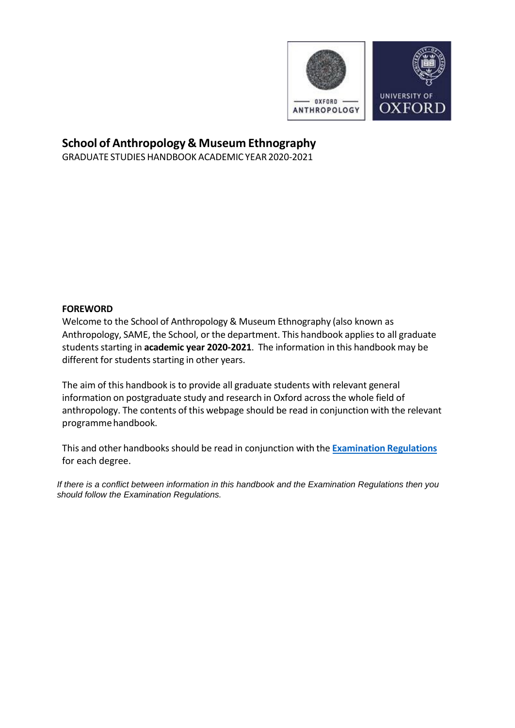

# **School of Anthropology & Museum Ethnography**

GRADUATE STUDIES HANDBOOK ACADEMIC YEAR 2020-2021

### **FOREWORD**

Welcome to the School of Anthropology & Museum Ethnography (also known as Anthropology, SAME, the School, or the department. This handbook appliesto all graduate students starting in academic year 2020-2021. The information in this handbook may be different for students starting in other years.

The aim of this handbook is to provide all graduate students with relevant general information on postgraduate study and research in Oxford across the whole field of anthropology. The contents of this webpage should be read in conjunction with the relevant programmehandbook.

This and other handbooks should be read in conjunction with the **Examination Regulations** for each degree.

*If there is a conflict between information in this handbook and the Examination Regulations then you should follow the Examination Regulations.*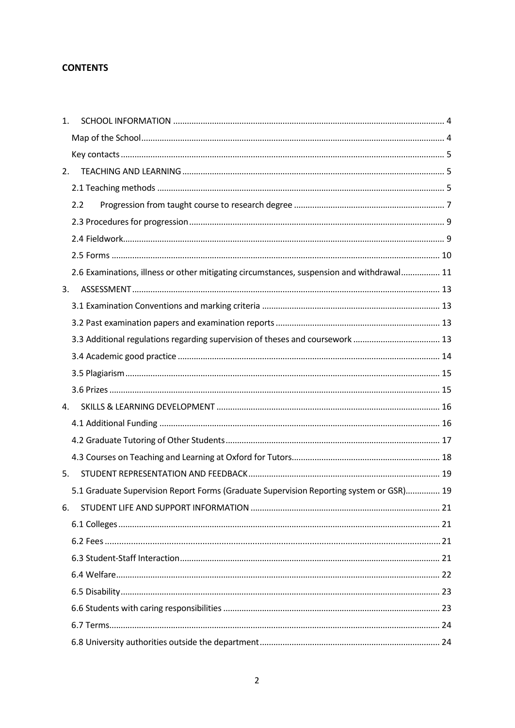# **CONTENTS**

| 1. |                                                                                           |  |
|----|-------------------------------------------------------------------------------------------|--|
|    |                                                                                           |  |
|    |                                                                                           |  |
| 2. |                                                                                           |  |
|    |                                                                                           |  |
|    | 2.2                                                                                       |  |
|    |                                                                                           |  |
|    |                                                                                           |  |
|    |                                                                                           |  |
|    | 2.6 Examinations, illness or other mitigating circumstances, suspension and withdrawal 11 |  |
| 3. |                                                                                           |  |
|    |                                                                                           |  |
|    |                                                                                           |  |
|    | 3.3 Additional regulations regarding supervision of theses and coursework  13             |  |
|    |                                                                                           |  |
|    |                                                                                           |  |
|    |                                                                                           |  |
| 4. |                                                                                           |  |
|    |                                                                                           |  |
|    |                                                                                           |  |
|    |                                                                                           |  |
|    |                                                                                           |  |
| 5. |                                                                                           |  |
|    | 5.1 Graduate Supervision Report Forms (Graduate Supervision Reporting system or GSR) 19   |  |
| 6. |                                                                                           |  |
|    |                                                                                           |  |
|    |                                                                                           |  |
|    |                                                                                           |  |
|    |                                                                                           |  |
|    |                                                                                           |  |
|    |                                                                                           |  |
|    |                                                                                           |  |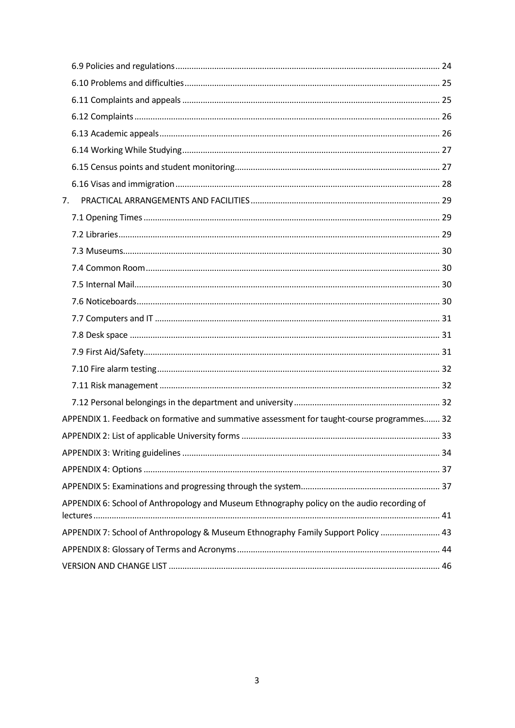| 7. |                                                                                            |  |
|----|--------------------------------------------------------------------------------------------|--|
|    |                                                                                            |  |
|    |                                                                                            |  |
|    |                                                                                            |  |
|    |                                                                                            |  |
|    |                                                                                            |  |
|    |                                                                                            |  |
|    |                                                                                            |  |
|    |                                                                                            |  |
|    |                                                                                            |  |
|    |                                                                                            |  |
|    |                                                                                            |  |
|    |                                                                                            |  |
|    | APPENDIX 1. Feedback on formative and summative assessment for taught-course programmes 32 |  |
|    |                                                                                            |  |
|    |                                                                                            |  |
|    |                                                                                            |  |
|    |                                                                                            |  |
|    | APPENDIX 6: School of Anthropology and Museum Ethnography policy on the audio recording of |  |
|    |                                                                                            |  |
|    | APPENDIX 7: School of Anthropology & Museum Ethnography Family Support Policy  43          |  |
|    |                                                                                            |  |
|    |                                                                                            |  |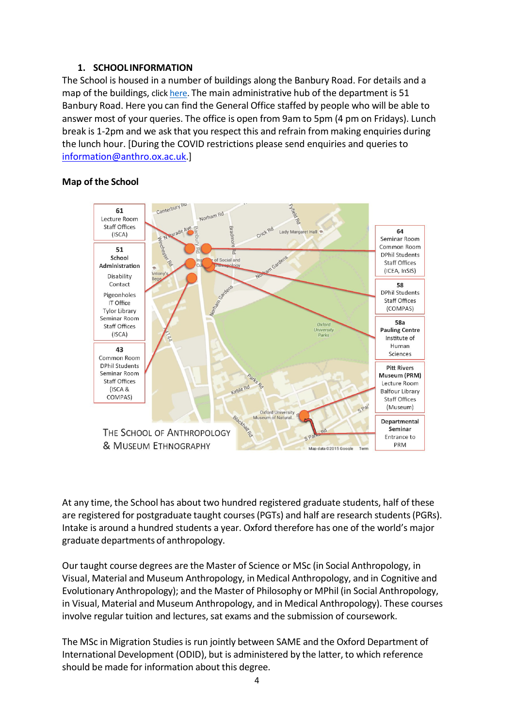### **1. SCHOOL INFORMATION**

<span id="page-3-0"></span>The School is housed in a number of buildings along the Banbury Road. For details and a map of the buildings, click [here.](https://anthro.web.ox.ac.uk/contact-us-0#tab-267711) The main administrative hub of the department is 51 Banbury Road. Here you can find the General Office staffed by people who will be able to answer most of your queries. The office is open from 9am to 5pm (4 pm on Fridays). Lunch break is 1-2pm and we ask that you respect this and refrain from making enquiries during the lunch hour. [During the COVID restrictions please send enquiries and queries to [information@anthro.ox.ac.uk.](mailto:information@anthro.ox.ac.uk)]

### <span id="page-3-1"></span>**Map of the School**



At any time, the School has about two hundred registered graduate students, half of these are registered for postgraduate taught courses(PGTs) and half are research students(PGRs). Intake is around a hundred students a year. Oxford therefore has one of the world's major graduate departments of anthropology.

Our taught course degrees are the Master of Science or MSc (in Social Anthropology, in Visual, Material and Museum Anthropology, in Medical Anthropology, and in Cognitive and Evolutionary Anthropology); and the Master of Philosophy or MPhil (in Social Anthropology, in Visual, Material and Museum Anthropology, and in Medical Anthropology). These courses involve regular tuition and lectures, sat exams and the submission of coursework.

The MSc in Migration Studies is run jointly between SAME and the Oxford Department of International Development (ODID), but is administered by the latter, to which reference should be made for information about this degree.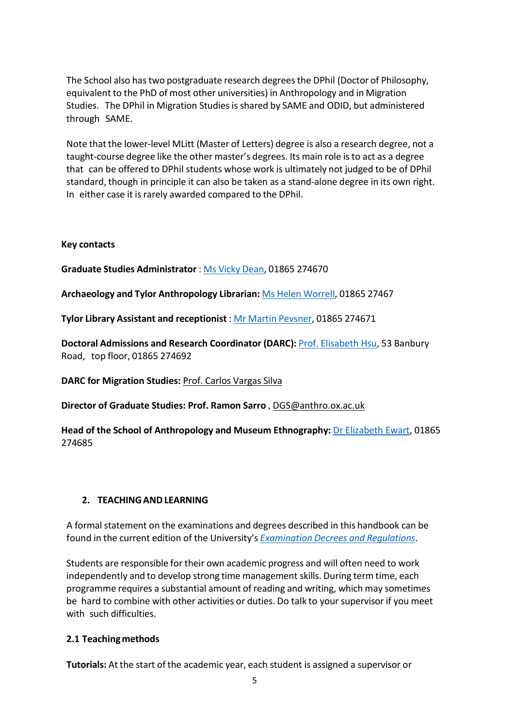The School also hastwo postgraduate research degreesthe DPhil (Doctor of Philosophy, equivalent to the PhD of most other universities) in Anthropology and in Migration Studies. The DPhil in Migration Studies is shared by SAME and ODID, but administered through SAME.

Note that the lower-level MLitt (Master of Letters) degree is also a research degree, not a taught-course degree like the other master's degrees. Its main role isto act as a degree that can be offered to DPhil students whose work is ultimately not judged to be of DPhil standard, though in principle it can also be taken as a stand-alone degree in its own right. In either case it is rarely awarded compared to the DPhil.

#### <span id="page-4-0"></span>**Key contacts**

**Graduate Studies Administrator** : Ms Vicky [Dean,](mailto:vicky.dean@anthro.ox.ac.uk) 01865 274670

**Archaeology and Tylor Anthropology Librarian:** Ms Helen [Worrell,](mailto:helen.worrell@bodleian.ox.ac.uk) 01865 27467

**Tylor Library Assistant and receptionist** : Mr Martin [Pevsner,](mailto:mailtomartin.pevsner@anthro.ox.ac.uk) 01865 274671

**Doctoral Admissions and Research Coordinator (DARC):** Prof. [Elisabeth](mailto:elisabeth.hsu@anthro.ox.ac.uk) Hsu, 53 Banbury Road, top floor, 01865 274692

**DARC for Migration Studies:** Prof. Carlos [Vargas](mailto:carlos.vargas-silva@compas.ox.ac.uk) Silva

**Director of Graduate Studies: Prof. Ramon Sarro** , [DGS@anthro.ox.ac.uk](mailto:dgs@anthro.ox.ac.uk)

**Head of the School of Anthropology and Museum Ethnography:** Dr [Elizabeth](mailto:elizabeth.ewart@anthro.ox.ac.uk) Ewart, 01865 274685

# <span id="page-4-1"></span>**2. TEACHINGANDLEARNING**

A formal statement on the examinations and degrees described in this handbook can be found in the current edition of the University's *[Examination](http://www.admin.ox.ac.uk/examregs/) Decrees and Regulations*.

Students are responsible for their own academic progress and will often need to work independently and to develop strong time management skills. During term time, each programme requires a substantial amount of reading and writing, which may sometimes be hard to combine with other activities or duties. Do talk to your supervisor if you meet with such difficulties.

# <span id="page-4-2"></span>**2.1 Teachingmethods**

**Tutorials:** At the start of the academic year, each student is assigned a supervisor or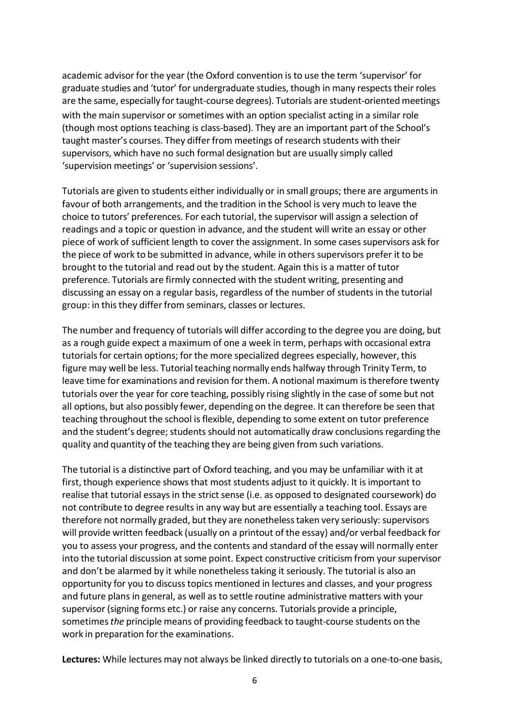academic advisor for the year (the Oxford convention is to use the term 'supervisor' for graduate studies and 'tutor' for undergraduate studies, though in many respects their roles are the same, especially for taught-course degrees). Tutorials are student-oriented meetings with the main supervisor or sometimes with an option specialist acting in a similar role (though most optionsteaching is class-based). They are an important part of the School's taught master's courses. They differ from meetings of research students with their supervisors, which have no such formal designation but are usually simply called 'supervision meetings' or'supervision sessions'.

Tutorials are given to students either individually or in small groups; there are arguments in favour of both arrangements, and the tradition in the School is very much to leave the choice to tutors' preferences. For each tutorial, the supervisor will assign a selection of readings and a topic or question in advance, and the student will write an essay or other piece of work of sufficient length to cover the assignment. In some casessupervisors ask for the piece of work to be submitted in advance, while in others supervisors prefer it to be brought to the tutorial and read out by the student. Again this is a matter of tutor preference. Tutorials are firmly connected with the student writing, presenting and discussing an essay on a regular basis, regardless of the number of students in the tutorial group: in this they differ from seminars, classes or lectures.

The number and frequency of tutorials will differ according to the degree you are doing, but as a rough guide expect a maximum of one a week in term, perhaps with occasional extra tutorials for certain options; for the more specialized degrees especially, however, this figure may well be less. Tutorial teaching normally ends halfway through Trinity Term, to leave time for examinations and revision for them. A notional maximum istherefore twenty tutorials over the year for core teaching, possibly rising slightly in the case of some but not all options, but also possibly fewer, depending on the degree. It can therefore be seen that teaching throughout the school isflexible, depending to some extent on tutor preference and the student's degree; students should not automatically draw conclusions regarding the quality and quantity of the teaching they are being given from such variations.

The tutorial is a distinctive part of Oxford teaching, and you may be unfamiliar with it at first, though experience showsthat most students adjust to it quickly. It is important to realise that tutorial essays in the strict sense (i.e. as opposed to designated coursework) do not contribute to degree results in any way but are essentially a teaching tool. Essays are therefore not normally graded, but they are nonetheless taken very seriously: supervisors will provide written feedback (usually on a printout of the essay) and/or verbal feedback for you to assess your progress, and the contents and standard of the essay will normally enter into the tutorial discussion at some point. Expect constructive criticism from your supervisor and don't be alarmed by it while nonethelesstaking it seriously. The tutorial is also an opportunity for you to discusstopics mentioned in lectures and classes, and your progress and future plans in general, as well as to settle routine administrative matters with your supervisor (signing forms etc.) or raise any concerns. Tutorials provide a principle, sometimes*the* principle means of providing feedback to taught-course students on the work in preparation for the examinations.

**Lectures:** While lectures may not always be linked directly to tutorials on a one-to-one basis,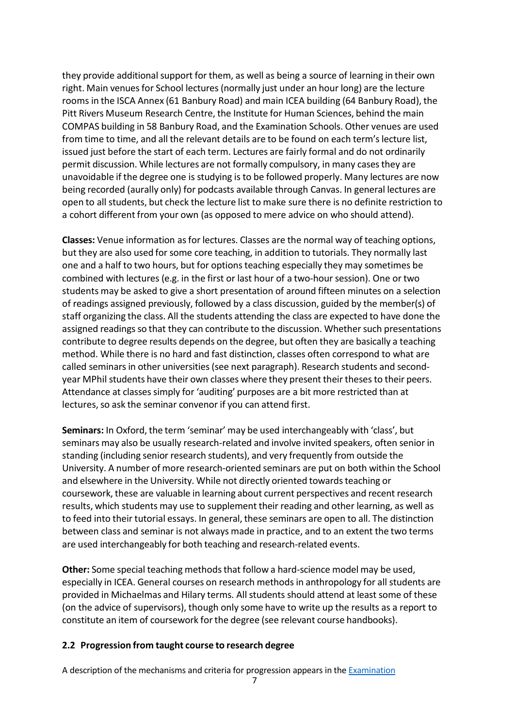they provide additional support for them, as well as being a source of learning in their own right. Main venues for School lectures (normally just under an hour long) are the lecture rooms in the ISCA Annex (61 Banbury Road) and main ICEA building (64 Banbury Road), the Pitt Rivers Museum Research Centre, the Institute for Human Sciences, behind the main COMPAS building in 58 Banbury Road, and the Examination Schools. Other venues are used from time to time, and all the relevant details are to be found on each term's lecture list, issued just before the start of each term. Lectures are fairly formal and do not ordinarily permit discussion. While lectures are not formally compulsory, in many casesthey are unavoidable if the degree one is studying is to be followed properly. Many lectures are now being recorded (aurally only) for podcasts available through Canvas. In general lectures are open to all students, but check the lecture list to make sure there is no definite restriction to a cohort different from your own (as opposed to mere advice on who should attend).

**Classes:** Venue information asfor lectures. Classes are the normal way of teaching options, but they are also used for some core teaching, in addition to tutorials. They normally last one and a half to two hours, but for optionsteaching especially they may sometimes be combined with lectures (e.g. in the first or last hour of a two-hour session). One or two students may be asked to give a short presentation of around fifteen minutes on a selection of readings assigned previously, followed by a class discussion, guided by the member(s) of staff organizing the class. All the students attending the class are expected to have done the assigned readings so that they can contribute to the discussion. Whether such presentations contribute to degree results depends on the degree, but often they are basically a teaching method. While there is no hard and fast distinction, classes often correspond to what are called seminars in other universities (see next paragraph). Research students and secondyear MPhil students have their own classes where they present their theses to their peers. Attendance at classes simply for 'auditing' purposes are a bit more restricted than at lectures, so ask the seminar convenor if you can attend first.

**Seminars:** In Oxford, the term 'seminar' may be used interchangeably with 'class', but seminars may also be usually research-related and involve invited speakers, often senior in standing (including senior research students), and very frequently from outside the University. A number of more research-oriented seminars are put on both within the School and elsewhere in the University. While not directly oriented towards teaching or coursework, these are valuable in learning about current perspectives and recent research results, which students may use to supplement their reading and other learning, as well as to feed into their tutorial essays. In general, these seminars are open to all. The distinction between class and seminar is not always made in practice, and to an extent the two terms are used interchangeably for both teaching and research-related events.

**Other:** Some special teaching methods that follow a hard-science model may be used, especially in ICEA. General courses on research methods in anthropology for all students are provided in Michaelmas and Hilary terms. Allstudents should attend at least some of these (on the advice of supervisors), though only some have to write up the results as a report to constitute an item of coursework forthe degree (see relevant course handbooks).

#### <span id="page-6-0"></span>**2.2 Progression from taught course to research degree**

A description of the mechanisms and criteria for progression appears in th[e Examination](https://www.anthro.ox.ac.uk/examination-conventions-and-marking-criteria)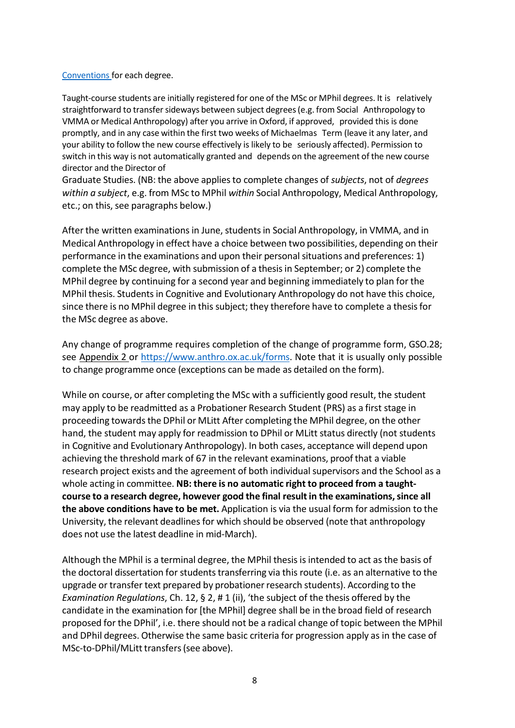#### [Conventions](https://www.anthro.ox.ac.uk/examination-conventions-and-marking-criteria) for each degree.

Taught-course students are initially registered for one of the MSc or MPhil degrees. It is relatively straightforward to transfersideways between subject degrees(e.g. from Social Anthropology to VMMA or Medical Anthropology) after you arrive in Oxford, if approved, provided this is done promptly, and in any case within the first two weeks of Michaelmas Term (leave it any later, and your ability to follow the new course effectively is likely to be seriously affected). Permission to switch in this way is not automatically granted and depends on the agreement of the new course director and the Director of

Graduate Studies. (NB: the above appliesto complete changes of *subjects*, not of *degrees within a subject*, e.g. from MSc to MPhil *within* Social Anthropology, Medical Anthropology, etc.; on this, see paragraphs below.)

After the written examinations in June, students in Social Anthropology, in VMMA, and in Medical Anthropology in effect have a choice between two possibilities, depending on their performance in the examinations and upon their personal situations and preferences: 1) complete the MSc degree, with submission of a thesisin September; or 2) complete the MPhil degree by continuing for a second year and beginning immediately to plan for the MPhil thesis. Studentsin Cognitive and Evolutionary Anthropology do not have this choice, since there is no MPhil degree in this subject; they therefore have to complete a thesis for the MSc degree as above.

Any change of programme requires completion of the change of programme form, GSO.28; see Appendix 2 or [https://www.anthro.ox.ac.uk/forms.](https://www.anthro.ox.ac.uk/forms) Note that it is usually only possible to change programme once (exceptions can be made as detailed on the form).

While on course, or after completing the MSc with a sufficiently good result, the student may apply to be readmitted as a Probationer Research Student (PRS) as a first stage in proceeding towardsthe DPhil or MLitt After completing the MPhil degree, on the other hand, the student may apply for readmission to DPhil or MLitt status directly (not students in Cognitive and Evolutionary Anthropology). In both cases, acceptance will depend upon achieving the threshold mark of 67 in the relevant examinations, proof that a viable research project exists and the agreement of both individualsupervisors and the School as a whole acting in committee. **NB: there is no automatic right to proceed from a taughtcourse to a research degree, however good the final resultin the examinations,since all the above conditions have to be met.** Application is via the usual form for admission to the University, the relevant deadlines for which should be observed (note that anthropology does not use the latest deadline in mid-March).

Although the MPhil is a terminal degree, the MPhil thesis is intended to act as the basis of the doctoral dissertation for students transferring via this route (i.e. as an alternative to the upgrade or transfer text prepared by probationerresearch students). According to the *Examination Regulations*, Ch. 12, § 2, # 1 (ii), 'the subject of the thesis offered by the candidate in the examination for [the MPhil] degree shall be in the broad field of research proposed for the DPhil', i.e. there should not be a radical change of topic between the MPhil and DPhil degrees. Otherwise the same basic criteria for progression apply as in the case of MSc-to-DPhil/MLitt transfers (see above).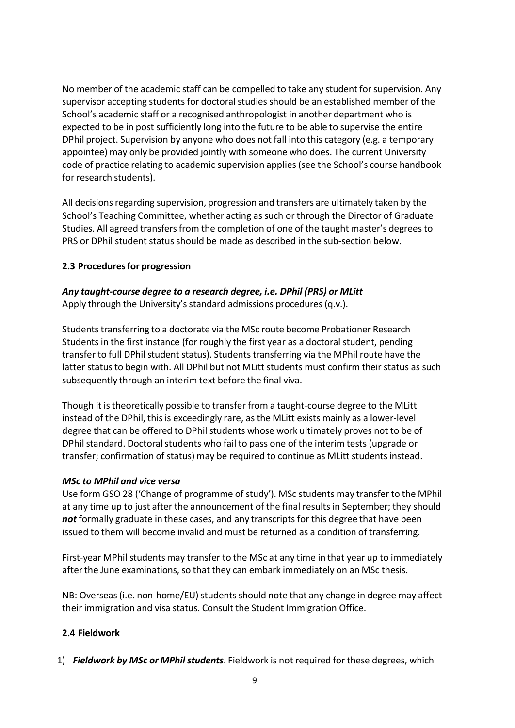No member of the academic staff can be compelled to take any student for supervision. Any supervisor accepting students for doctoral studies should be an established member of the School's academic staff or a recognised anthropologist in another department who is expected to be in post sufficiently long into the future to be able to supervise the entire DPhil project. Supervision by anyone who does not fall into this category (e.g. a temporary appointee) may only be provided jointly with someone who does. The current University code of practice relating to academic supervision applies(see the School's course handbook for research students).

All decisions regarding supervision, progression and transfers are ultimately taken by the School's Teaching Committee, whether acting as such or through the Director of Graduate Studies. All agreed transfersfrom the completion of one of the taught master's degreesto PRS or DPhil student status should be made as described in the sub-section below.

# <span id="page-8-0"></span>**2.3 Proceduresfor progression**

# *Any taught-course degree to a research degree, i.e. DPhil (PRS) or MLitt*

Apply through the University's standard admissions procedures (q.v.).

Students transferring to a doctorate via the MSc route become Probationer Research Students in the first instance (for roughly the first year as a doctoral student, pending transfer to full DPhil student status). Students transferring via the MPhil route have the latter status to begin with. All DPhil but not MLitt students must confirm their status as such subsequently through an interim text before the final viva.

Though it istheoretically possible to transfer from a taught-course degree to the MLitt instead of the DPhil, thisis exceedingly rare, as the MLitt exists mainly as a lower-level degree that can be offered to DPhil students whose work ultimately proves not to be of DPhil standard. Doctoral students who fail to pass one of the interim tests (upgrade or transfer; confirmation of status) may be required to continue as MLitt studentsinstead.

#### *MSc to MPhil and vice versa*

Use form GSO 28 ('Change of programme of study'). MSc students may transfer to the MPhil at any time up to just after the announcement of the final results in September; they should not formally graduate in these cases, and any transcripts for this degree that have been issued to them will become invalid and must be returned as a condition of transferring.

First-year MPhil students may transfer to the MSc at any time in that year up to immediately after the June examinations, so that they can embark immediately on an MSc thesis.

NB: Overseas (i.e. non-home/EU) students should note that any change in degree may affect their immigration and visa status. Consult the Student Immigration Office.

#### <span id="page-8-1"></span>**2.4 Fieldwork**

1) *Fieldwork by MSc or MPhil students*. Fieldwork is not required for these degrees, which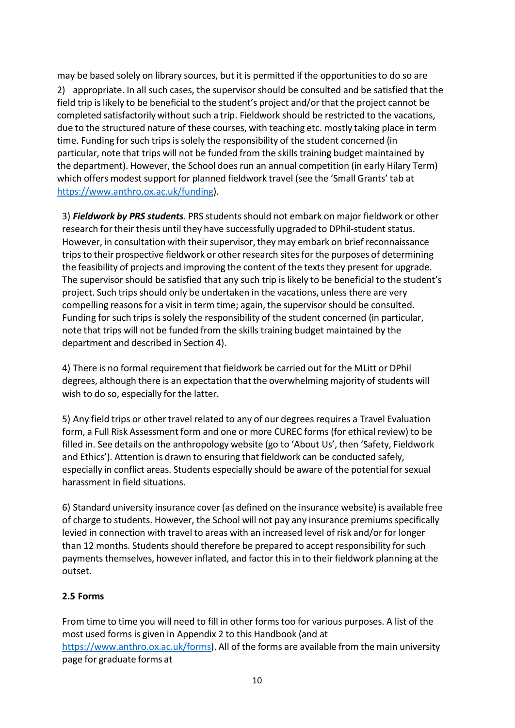may be based solely on library sources, but it is permitted if the opportunitiesto do so are 2) appropriate. In all such cases, the supervisor should be consulted and be satisfied that the field trip is likely to be beneficial to the student's project and/or that the project cannot be completed satisfactorily without such a trip. Fieldwork should be restricted to the vacations, due to the structured nature of these courses, with teaching etc. mostly taking place in term time. Funding for such trips issolely the responsibility of the student concerned (in particular, note that trips will not be funded from the skills training budget maintained by the department). However, the School doesrun an annual competition (in early Hilary Term) which offers modest support for planned fieldwork travel (see the 'Small Grants' tab at [https://www.anthro.ox.ac.uk/funding\)](https://www.anthro.ox.ac.uk/funding).

3) *Fieldwork by PRS students*. PRS studentsshould not embark on major fieldwork or other research for their thesis until they have successfully upgraded to DPhil-student status. However, in consultation with their supervisor, they may embark on brief reconnaissance trips to their prospective fieldwork or other research sites for the purposes of determining the feasibility of projects and improving the content of the texts they present for upgrade. The supervisor should be satisfied that any such trip is likely to be beneficial to the student's project. Such trips should only be undertaken in the vacations, unless there are very compelling reasonsfor a visit in term time; again, the supervisor should be consulted. Funding for such trips issolely the responsibility of the student concerned (in particular, note that trips will not be funded from the skills training budget maintained by the department and described in Section 4).

4) There is no formal requirement that fieldwork be carried out for the MLitt or DPhil degrees, although there is an expectation that the overwhelming majority of students will wish to do so, especially for the latter.

5) Any field trips or other travel related to any of our degreesrequires a Travel Evaluation form, a Full Risk Assessment form and one or more CUREC forms (for ethical review) to be filled in. See details on the anthropology website (go to 'About Us', then 'Safety, Fieldwork and Ethics'). Attention is drawn to ensuring that fieldwork can be conducted safely, especially in conflict areas. Students especially should be aware of the potential for sexual harassment in field situations.

6) Standard university insurance cover (as defined on the insurance website) is available free of charge to students. However, the School will not pay any insurance premiums specifically levied in connection with travel to areas with an increased level of risk and/or for longer than 12 months. Students should therefore be prepared to accept responsibility for such payments themselves, however inflated, and factor this in to their fieldwork planning at the outset.

# <span id="page-9-0"></span>**2.5 Forms**

From time to time you will need to fill in other formstoo for various purposes. A list of the most used forms is given in Appendix 2 to this Handbook (and at [https://www.anthro.ox.ac.uk/forms\)](https://www.anthro.ox.ac.uk/forms). All of the forms are available from the main university page for graduate forms at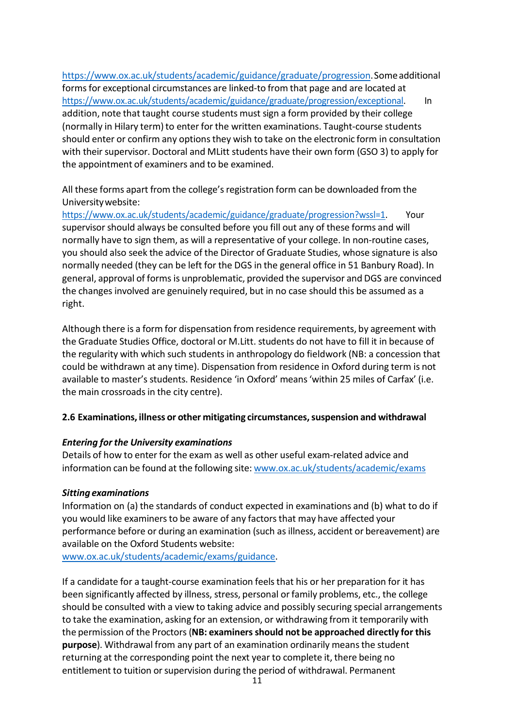[https://www.ox.ac.uk/students/academic/guidance/graduate/progression.S](https://www.ox.ac.uk/students/academic/guidance/graduate/progression)omeadditional forms for exceptional circumstances are linked-to from that page and are located at [https://www.ox.ac.uk/students/academic/guidance/graduate/progression/exceptional.](https://www.ox.ac.uk/students/academic/guidance/graduate/progression/exceptional) In addition, note that taught course students must sign a form provided by their college (normally in Hilary term) to enter for the written examinations. Taught-course students should enter or confirm any options they wish to take on the electronic form in consultation with their supervisor. Doctoral and MLitt students have their own form (GSO 3) to apply for the appointment of examiners and to be examined.

All these forms apart from the college's registration form can be downloaded from the Universitywebsite:

[https://www.ox.ac.uk/students/academic/guidance/graduate/progression?wssl=1.](https://www.ox.ac.uk/students/academic/guidance/graduate/progression?wssl=1) Your supervisor should always be consulted before you fill out any of these forms and will normally have to sign them, as will a representative of your college. In non-routine cases, you should also seek the advice of the Director of Graduate Studies, whose signature is also normally needed (they can be left for the DGS in the general office in 51 Banbury Road). In general, approval of forms is unproblematic, provided the supervisor and DGS are convinced the changes involved are genuinely required, but in no case should this be assumed as a right.

Although there is a form for dispensation from residence requirements, by agreement with the Graduate Studies Office, doctoral or M.Litt. students do not have to fill it in because of the regularity with which such students in anthropology do fieldwork (NB: a concession that could be withdrawn at any time). Dispensation from residence in Oxford during term is not available to master's students. Residence 'in Oxford' means'within 25 miles of Carfax' (i.e. the main crossroads in the city centre).

# <span id="page-10-0"></span>**2.6 Examinations, illness or other mitigating circumstances,suspension and withdrawal**

#### *Entering for the University examinations*

Details of how to enter for the exam as well as other useful exam-related advice and information can be found at the following site: [www.ox.ac.uk/students/academic/exams](http://www.ox.ac.uk/students/academic/exams)

# *Sittingexaminations*

Information on (a) the standards of conduct expected in examinations and (b) what to do if you would like examiners to be aware of any factors that may have affected your performance before or during an examination (such as illness, accident or bereavement) are available on the Oxford Students website:

[www.ox.ac.uk/students/academic/exams/guidance.](http://www.ox.ac.uk/students/academic/exams/guidance)

If a candidate for a taught-course examination feels that his or her preparation for it has been significantly affected by illness, stress, personal orfamily problems, etc., the college should be consulted with a view to taking advice and possibly securing special arrangements to take the examination, asking for an extension, or withdrawing from it temporarily with the permission of the Proctors(**NB: examinersshould not be approached directly for this purpose**). Withdrawal from any part of an examination ordinarily means the student returning at the corresponding point the next year to complete it, there being no entitlement to tuition orsupervision during the period of withdrawal. Permanent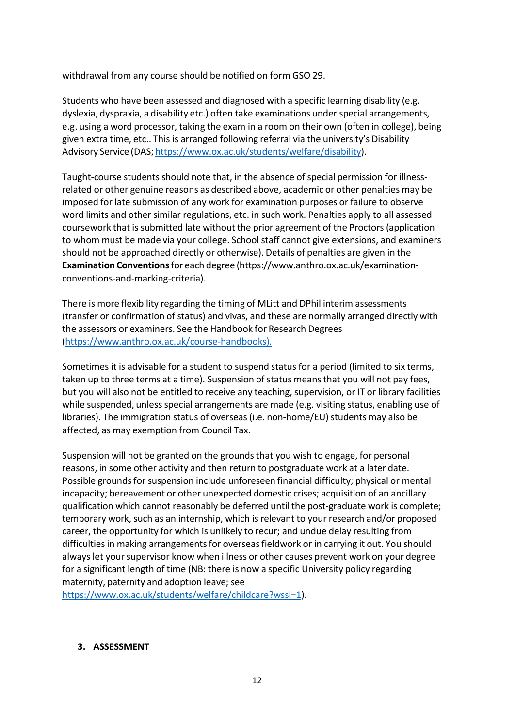withdrawal from any course should be notified on form GSO 29.

Students who have been assessed and diagnosed with a specific learning disability (e.g. dyslexia, dyspraxia, a disability etc.) often take examinations under special arrangements, e.g. using a word processor, taking the exam in a room on their own (often in college), being given extra time, etc.. This is arranged following referral via the university's Disability Advisory Service (DAS; [https://www.ox.ac.uk/students/welfare/disability\)](https://www.ox.ac.uk/students/welfare/disability?wssl=1).

Taught-course students should note that, in the absence of special permission for illnessrelated or other genuine reasons as described above, academic or other penalties may be imposed for late submission of any work for examination purposes or failure to observe word limits and other similar regulations, etc. in such work. Penalties apply to all assessed coursework that is submitted late without the prior agreement of the Proctors (application to whom must be made via your college. School staff cannot give extensions, and examiners should not be approached directly or otherwise). Details of penalties are given in the **Examination Conventions**for each degree (https:/[/www.anthro.ox.ac.uk/examination](http://www.anthro.ox.ac.uk/examination-)conventions-and-marking-criteria).

There is more flexibility regarding the timing of MLitt and DPhil interim assessments (transfer or confirmation of status) and vivas, and these are normally arranged directly with the assessors or examiners. See the Handbook for Research Degrees [\(https://www.anthro.ox.ac.uk/course-handbooks\)](https://www.anthro.ox.ac.uk/course-handbooks).

Sometimes it is advisable for a student to suspend status for a period (limited to six terms, taken up to three terms at a time). Suspension of status means that you will not pay fees, but you will also not be entitled to receive any teaching, supervision, or IT or library facilities while suspended, unless special arrangements are made (e.g. visiting status, enabling use of libraries). The immigration status of overseas (i.e. non-home/EU) students may also be affected, as may exemption from Council Tax.

Suspension will not be granted on the groundsthat you wish to engage, for personal reasons, in some other activity and then return to postgraduate work at a later date. Possible groundsfor suspension include unforeseen financial difficulty; physical or mental incapacity; bereavement or other unexpected domestic crises; acquisition of an ancillary qualification which cannot reasonably be deferred until the post-graduate work is complete; temporary work, such as an internship, which isrelevant to your research and/or proposed career, the opportunity for which is unlikely to recur; and undue delay resulting from difficulties in making arrangements for overseas fieldwork or in carrying it out. You should always let your supervisor know when illness or other causes prevent work on your degree for a significant length of time (NB: there is now a specific University policy regarding maternity, paternity and adoption leave; see

[https://www.ox.ac.uk/students/welfare/childcare?wssl=1\)](https://www.ox.ac.uk/students/welfare/childcare?wssl=1).

#### <span id="page-11-0"></span>**3. ASSESSMENT**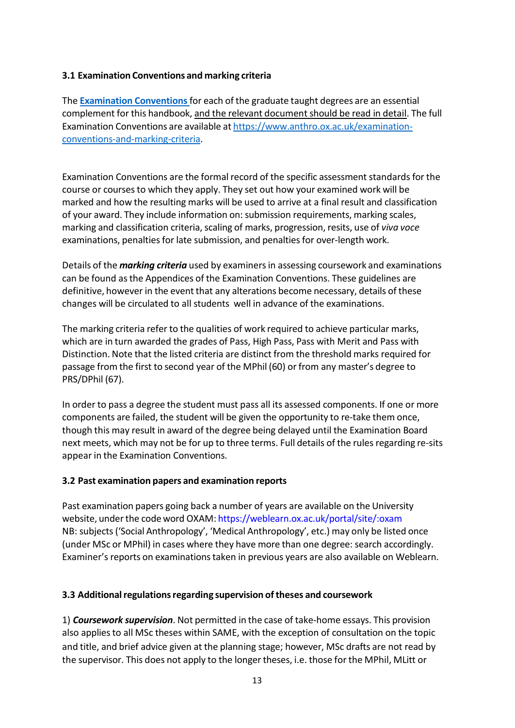# <span id="page-12-0"></span>**3.1 Examination Conventions and marking criteria**

The **[Examination](https://www.anthro.ox.ac.uk/examination-conventions-and-marking-criteria) Conventions**for each of the graduate taught degrees are an essential complement for this handbook, and the relevant documentshould be read in detail. The full Examination Conventions are available at [https://www.anthro.ox.ac.uk/examination](https://www.anthro.ox.ac.uk/examination-conventions-and-marking-criteria)[conventions-and-marking-criteria.](https://www.anthro.ox.ac.uk/examination-conventions-and-marking-criteria)

Examination Conventions are the formal record of the specific assessment standards for the course or courses to which they apply. They set out how your examined work will be marked and how the resulting marks will be used to arrive at a final result and classification of your award. They include information on: submission requirements, marking scales, marking and classification criteria, scaling of marks, progression, resits, use of *viva voce* examinations, penalties for late submission, and penalties for over-length work.

Details of the *marking criteria* used by examinersin assessing coursework and examinations can be found asthe Appendices of the Examination Conventions. These guidelines are definitive, however in the event that any alterations become necessary, details of these changes will be circulated to all students well in advance of the examinations.

The marking criteria refer to the qualities of work required to achieve particular marks, which are in turn awarded the grades of Pass, High Pass, Pass with Merit and Pass with Distinction. Note that the listed criteria are distinct from the threshold marks required for passage from the first to second year of the MPhil (60) or from any master's degree to PRS/DPhil (67).

In order to pass a degree the student must pass all its assessed components. If one or more components are failed, the student will be given the opportunity to re-take them once, though this may result in award of the degree being delayed until the Examination Board next meets, which may not be for up to three terms. Full details of the rules regarding re-sits appear in the Examination Conventions.

#### <span id="page-12-1"></span>**3.2 Past examination papers and examination reports**

Past examination papers going back a number of years are available on the University website, under the code word OXAM: https://weblearn.ox.ac.uk/portal/site/:oxam NB: subjects('Social Anthropology', 'Medical Anthropology', etc.) may only be listed once (under MSc or MPhil) in cases where they have more than one degree: search accordingly. Examiner's reports on examinations taken in previous years are also available on Weblearn.

# <span id="page-12-2"></span>**3.3 Additionalregulationsregarding supervision oftheses and coursework**

1) *Coursework supervision*. Not permitted in the case of take-home essays. This provision also appliesto all MSc theses within SAME, with the exception of consultation on the topic and title, and brief advice given at the planning stage; however, MSc drafts are not read by the supervisor. This does not apply to the longer theses, i.e. those for the MPhil, MLitt or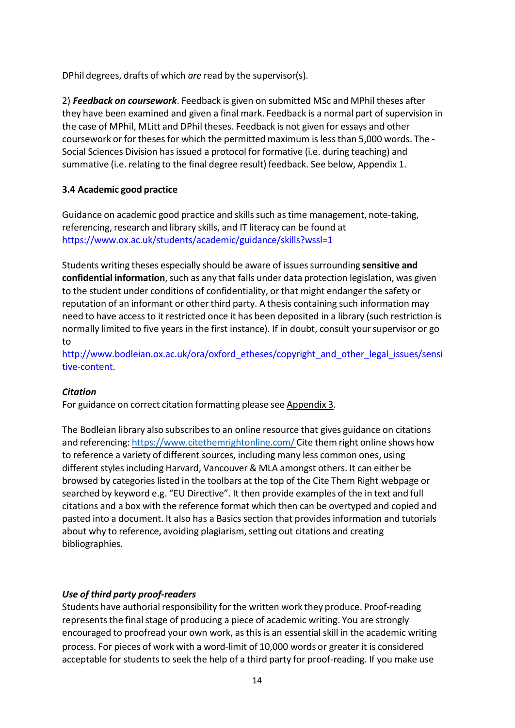DPhil degrees, drafts of which *are* read by the supervisor(s).

2) *Feedback on coursework*. Feedback is given on submitted MSc and MPhil theses after they have been examined and given a final mark. Feedback is a normal part of supervision in the case of MPhil, MLitt and DPhil theses. Feedback is not given for essays and other coursework or for thesesfor which the permitted maximum islessthan 5,000 words. The - Social Sciences Division has issued a protocol for formative (i.e. during teaching) and summative (i.e. relating to the final degree result) feedback. See below, Appendix 1.

# <span id="page-13-0"></span>**3.4 Academic good practice**

Guidance on academic good practice and skills such as time management, note-taking, referencing, research and library skills, and IT literacy can be found at https:/[/www.ox.ac.uk/students/academic/guidance/skills?wssl=1](http://www.ox.ac.uk/students/academic/guidance/skills?wssl=1)

Students writing theses especially should be aware of issuessurrounding **sensitive and confidential information**, such as any that falls under data protection legislation, was given to the student under conditions of confidentiality, or that might endanger the safety or reputation of an informant or other third party. A thesis containing such information may need to have accessto it restricted once it has been deposited in a library (such restriction is normally limited to five years in the first instance). If in doubt, consult yoursupervisor or go to

[http://www.bodleian.ox.ac.uk/ora/oxford\\_etheses/copyright\\_and\\_other\\_legal\\_issues/sensi](http://www.bodleian.ox.ac.uk/ora/oxford_etheses/copyright_and_other_legal_issues/sensi) tive-content.

# *Citation*

For guidance on correct citation formatting please see Appendix 3.

The Bodleian library also subscribes to an online resource that gives guidance on citations and referencing: <https://www.citethemrightonline.com/> Cite them right online shows how to reference a variety of different sources, including many less common ones, using different stylesincluding Harvard, Vancouver & MLA amongst others. It can either be browsed by categories listed in the toolbars at the top of the Cite Them Right webpage or searched by keyword e.g. "EU Directive". It then provide examples of the in text and full citations and a box with the reference format which then can be overtyped and copied and pasted into a document. It also has a Basics section that provides information and tutorials about why to reference, avoiding plagiarism, setting out citations and creating bibliographies.

# *Use of third party proof-readers*

Students have authorial responsibility for the written work they produce. Proof-reading represents the final stage of producing a piece of academic writing. You are strongly encouraged to proofread your own work, asthis is an essential skill in the academic writing process. For pieces of work with a word-limit of 10,000 words or greater it is considered acceptable for students to seek the help of a third party for proof-reading. If you make use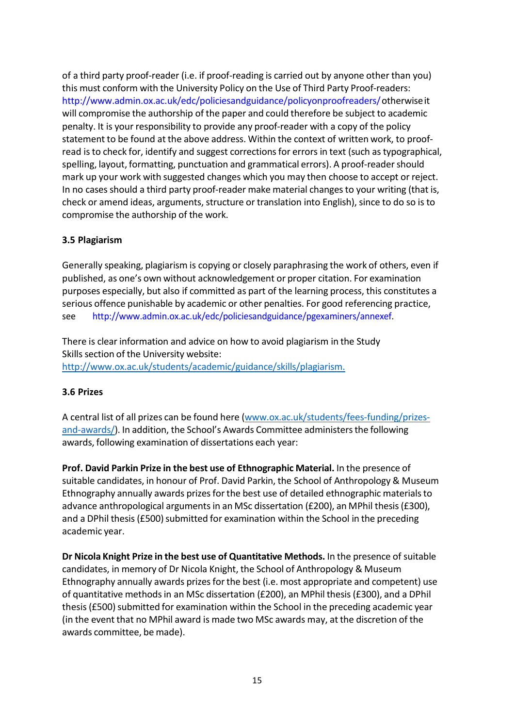of a third party proof-reader (i.e. if proof-reading is carried out by anyone other than you) this must conform with the University Policy on the Use of Third Party Proof-readers: [http://www.admin.ox.ac.uk/edc/policiesandguidance/policyonproofreaders/o](http://www.admin.ox.ac.uk/edc/policiesandguidance/policyonproofreaders/)therwiseit will compromise the authorship of the paper and could therefore be subject to academic penalty. It is your responsibility to provide any proof-reader with a copy of the policy statement to be found at the above address. Within the context of written work, to proofread is to check for, identify and suggest corrections for errors in text (such as typographical, spelling, layout, formatting, punctuation and grammatical errors). A proof-reader should mark up your work with suggested changes which you may then choose to accept or reject. In no cases should a third party proof-reader make material changes to your writing (that is, check or amend ideas, arguments, structure or translation into English), since to do so is to compromise the authorship of the work.

# <span id="page-14-0"></span>**3.5 Plagiarism**

Generally speaking, plagiarism is copying or closely paraphrasing the work of others, even if published, as one's own without acknowledgement or proper citation. For examination purposes especially, but also if committed as part of the learning process, this constitutes a serious offence punishable by academic or other penalties. For good referencing practice, see [http://www.admin.ox.ac.uk/edc/policiesandguidance/pgexaminers/annexef.](http://www.admin.ox.ac.uk/edc/policiesandguidance/pgexaminers/annexef)

There is clear information and advice on how to avoid plagiarism in the Study Skills section of the University website: [http://www.ox.ac.uk/students/academic/guidance/skills/plagiarism.](http://www.ox.ac.uk/students/academic/guidance/skills/plagiarism)

#### <span id="page-14-1"></span>**3.6 Prizes**

A central list of all prizes can be found here [\(www.ox.ac.uk/students/fees-funding/prizes](http://www.ox.ac.uk/students/fees-funding/prizes-and-awards/)[and-awards/\)](http://www.ox.ac.uk/students/fees-funding/prizes-and-awards/). In addition, the School's Awards Committee administers the following awards, following examination of dissertations each year:

**Prof. David Parkin Prize in the best use of Ethnographic Material.** In the presence of suitable candidates, in honour of Prof. David Parkin, the School of Anthropology & Museum Ethnography annually awards prizes for the best use of detailed ethnographic materials to advance anthropological arguments in an MSc dissertation (£200), an MPhil thesis (£300), and a DPhil thesis (£500) submitted for examination within the School in the preceding academic year.

**Dr Nicola Knight Prize in the best use of Quantitative Methods.** In the presence of suitable candidates, in memory of Dr Nicola Knight, the School of Anthropology & Museum Ethnography annually awards prizesforthe best (i.e. most appropriate and competent) use of quantitative methodsin an MSc dissertation (£200), an MPhil thesis (£300), and a DPhil thesis (£500) submitted for examination within the School in the preceding academic year (in the event that no MPhil award is made two MSc awards may, at the discretion of the awards committee, be made).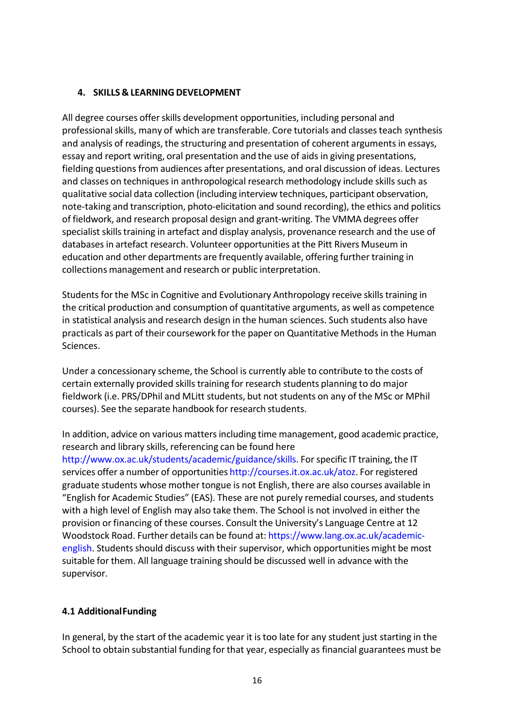### <span id="page-15-0"></span>**4. SKILLS & LEARNING DEVELOPMENT**

All degree courses offerskills development opportunities, including personal and professional skills, many of which are transferable. Core tutorials and classes teach synthesis and analysis of readings, the structuring and presentation of coherent arguments in essays, essay and report writing, oral presentation and the use of aids in giving presentations, fielding questions from audiences after presentations, and oral discussion of ideas. Lectures and classes on techniques in anthropological research methodology include skills such as qualitative social data collection (including interview techniques, participant observation, note-taking and transcription, photo-elicitation and sound recording), the ethics and politics of fieldwork, and research proposal design and grant-writing. The VMMA degrees offer specialist skills training in artefact and display analysis, provenance research and the use of databasesin artefact research. Volunteer opportunities at the Pitt Rivers Museum in education and other departments are frequently available, offering further training in collections management and research or public interpretation.

Students for the MSc in Cognitive and Evolutionary Anthropology receive skills training in the critical production and consumption of quantitative arguments, as well as competence in statistical analysis and research design in the human sciences. Such students also have practicals as part of their coursework for the paper on Quantitative Methods in the Human Sciences.

Under a concessionary scheme, the School is currently able to contribute to the costs of certain externally provided skills training for research students planning to do major fieldwork (i.e. PRS/DPhil and MLitt students, but not students on any of the MSc or MPhil courses). See the separate handbook for research students.

In addition, advice on various matters including time management, good academic practice, research and library skills, referencing can be found here

[http://www.ox.ac.uk/students/academic/guidance/skills.](http://www.ox.ac.uk/students/academic/guidance/skills) For specific IT training, the IT services offer a number of opportunities [http://courses.it.ox.ac.uk/atoz.](http://courses.it.ox.ac.uk/atoz) For registered graduate students whose mother tongue is not English, there are also courses available in "English for Academic Studies" (EAS). These are not purely remedial courses, and students with a high level of English may also take them. The School is not involved in either the provision or financing of these courses. Consult the University's Language Centre at 12 Woodstock Road. Further details can be found at: https:/[/www.lang.ox.ac.uk/academic](http://www.lang.ox.ac.uk/academic-)english. Students should discuss with their supervisor, which opportunities might be most suitable for them. All language training should be discussed well in advance with the supervisor.

# <span id="page-15-1"></span>**4.1 AdditionalFunding**

In general, by the start of the academic year it istoo late for any student just starting in the School to obtain substantial funding for that year, especially as financial guarantees must be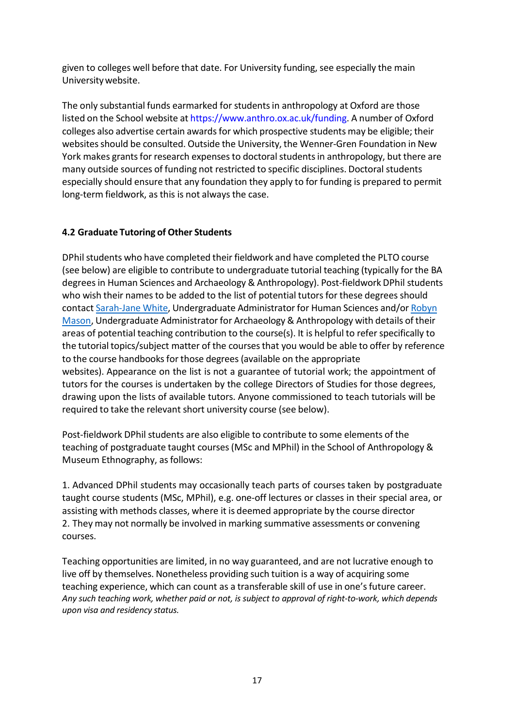given to colleges well before that date. For University funding, see especially the main Universitywebsite.

The only substantial funds earmarked for studentsin anthropology at Oxford are those listed on the School website at https:/[/www.anthro.ox.ac.uk/funding.](http://www.anthro.ox.ac.uk/funding) A number of Oxford colleges also advertise certain awards for which prospective students may be eligible; their websites should be consulted. Outside the University, the Wenner-Gren Foundation in New York makes grants for research expenses to doctoral students in anthropology, but there are many outside sources of funding not restricted to specific disciplines. Doctoral students especially should ensure that any foundation they apply to for funding is prepared to permit long-term fieldwork, as this is not always the case.

# <span id="page-16-0"></span>**4.2 Graduate Tutoring of Other Students**

DPhil students who have completed their fieldwork and have completed the PLTO course (see below) are eligible to contribute to undergraduate tutorial teaching (typically forthe BA degreesin Human Sciences and Archaeology & Anthropology). Post-fieldwork DPhil students who wish their names to be added to the list of potential tutors for these degrees should contact [Sarah-Jane](mailto:sarahjane.white@humsci.ox.ac.uk) White, Undergraduate Administratorfor Human Sciences and/or [Robyn](mailto:robyn.mason@arch.ox.ac.uk) [Mason,](mailto:robyn.mason@arch.ox.ac.uk) Undergraduate Administrator for Archaeology & Anthropology with details of their areas of potential teaching contribution to the course(s). It is helpful to refer specifically to the tutorial topics/subject matter of the coursesthat you would be able to offer by reference to the course handbooks for those degrees (available on the appropriate websites). Appearance on the list is not a guarantee of tutorial work; the appointment of tutors for the courses is undertaken by the college Directors of Studies for those degrees, drawing upon the lists of available tutors. Anyone commissioned to teach tutorials will be required to take the relevant short university course (see below).

Post-fieldwork DPhil students are also eligible to contribute to some elements of the teaching of postgraduate taught courses(MSc and MPhil) in the School of Anthropology & Museum Ethnography, as follows:

1. Advanced DPhil students may occasionally teach parts of courses taken by postgraduate taught course students (MSc, MPhil), e.g. one-off lectures or classes in their special area, or assisting with methods classes, where it is deemed appropriate by the course director 2. They may not normally be involved in marking summative assessments or convening courses.

Teaching opportunities are limited, in no way guaranteed, and are not lucrative enough to live off by themselves. Nonetheless providing such tuition is a way of acquiring some teaching experience, which can count as a transferable skill of use in one's future career. *Any such teaching work, whether paid or not, is subject to approval of right-to-work, which depends upon visa and residency status.*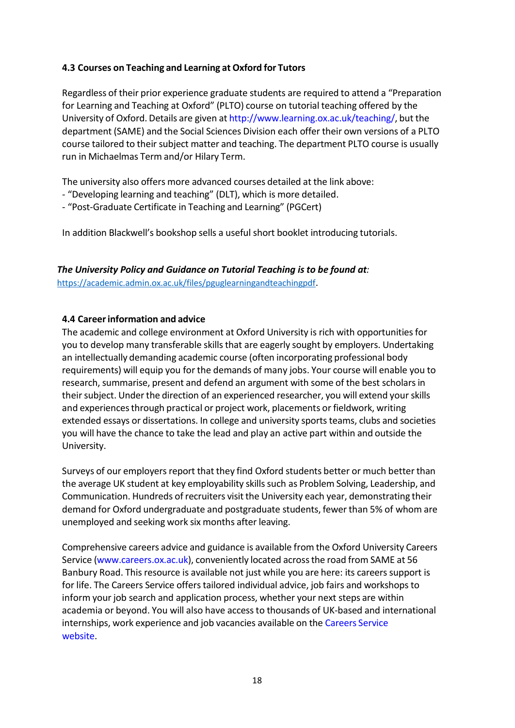# <span id="page-17-0"></span>**4.3 Courses on Teaching and Learning at Oxford for Tutors**

Regardless of their prior experience graduate students are required to attend a "Preparation for Learning and Teaching at Oxford" (PLTO) course on tutorial teaching offered by the University of Oxford. Details are given at [http://www.learning.ox.ac.uk/teaching/,](http://www.learning.ox.ac.uk/teaching/) but the department (SAME) and the Social Sciences Division each offer their own versions of a PLTO course tailored to their subject matter and teaching. The department PLTO course is usually run in Michaelmas Term and/or Hilary Term.

The university also offers more advanced courses detailed at the link above:

- "Developing learning and teaching" (DLT), which is more detailed.
- "Post-Graduate Certificate in Teaching and Learning" (PGCert)

In addition Blackwell's bookshop sells a useful short booklet introducing tutorials.

*The University Policy and Guidance on Tutorial Teaching is to be found at:* [https://academic.admin.ox.ac.uk/files/pguglearningandteachingpdf.](https://academic.admin.ox.ac.uk/files/pguglearningandteachingpdf)

#### **4.4 Careerinformation and advice**

The academic and college environment at Oxford University is rich with opportunitiesfor you to develop many transferable skills that are eagerly sought by employers. Undertaking an intellectually demanding academic course (often incorporating professional body requirements) will equip you for the demands of many jobs. Your course will enable you to research, summarise, present and defend an argument with some of the best scholars in their subject. Under the direction of an experienced researcher, you will extend your skills and experiences through practical or project work, placements or fieldwork, writing extended essays or dissertations. In college and university sports teams, clubs and societies you will have the chance to take the lead and play an active part within and outside the University.

Surveys of our employers report that they find Oxford students better or much better than the average UK student at key employability skills such as Problem Solving, Leadership, and Communication. Hundreds of recruiters visitthe University each year, demonstrating their demand for Oxford undergraduate and postgraduate students, fewer than 5% of whom are unemployed and seeking work six months after leaving.

Comprehensive careers advice and guidance is available from the Oxford University Careers Service (www.careers.ox.ac.uk), conveniently located across the road from SAME at 56 Banbury Road. This resource is available not just while you are here: its careers support is for life. The Careers Service offers tailored individual advice, job fairs and workshops to inform your job search and application process, whether your next steps are within academia or beyond. You will also have accessto thousands of UK-based and international internships, work experience and job vacancies available on the Careers Service website.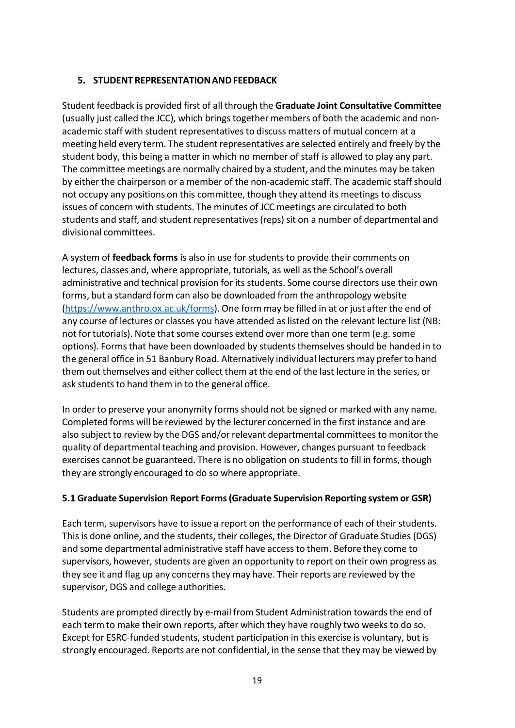# <span id="page-18-0"></span>**5. STUDENT REPRESENTATIONANDFEEDBACK**

Student feedback is provided first of all through the **Graduate Joint Consultative Committee** (usually just called the JCC), which bringstogether members of both the academic and nonacademic staff with student representatives to discuss matters of mutual concern at a meeting held every term. The student representatives are selected entirely and freely by the student body, this being a matter in which no member of staff is allowed to play any part. The committee meetings are normally chaired by a student, and the minutes may be taken by either the chairperson or a member of the non-academic staff. The academic staffshould not occupy any positions on this committee, though they attend its meetings to discuss issues of concern with students. The minutes of JCC meetings are circulated to both students and staff, and student representatives (reps) sit on a number of departmental and divisional committees.

A system of **feedback forms** is also in use for studentsto provide their comments on lectures, classes and, where appropriate, tutorials, as well asthe School's overall administrative and technical provision for its students. Some course directors use their own forms, but a standard form can also be downloaded from the anthropology website [\(https://www.anthro.ox.ac.uk/forms\)](https://www.anthro.ox.ac.uk/forms). One form may be filled in at or just after the end of any course of lectures or classes you have attended as listed on the relevant lecture list (NB: not for tutorials). Note that some courses extend over more than one term (e.g. some options). Formsthat have been downloaded by studentsthemselvesshould be handed in to the general office in 51 Banbury Road. Alternatively individual lecturers may prefer to hand them out themselves and either collect them at the end of the last lecture in the series, or ask students to hand them in to the general office.

In order to preserve your anonymity forms should not be signed or marked with any name. Completed forms will be reviewed by the lecturer concerned in the first instance and are also subject to review by the DGS and/or relevant departmental committees to monitorthe quality of departmental teaching and provision. However, changes pursuant to feedback exercises cannot be guaranteed. There is no obligation on students to fill in forms, though they are strongly encouraged to do so where appropriate.

# <span id="page-18-1"></span>**5.1 Graduate Supervision Report Forms(Graduate Supervision Reporting system or GSR)**

Each term, supervisors have to issue a report on the performance of each of their students. This is done online, and the students, their colleges, the Director of Graduate Studies (DGS) and some departmental administrative staff have accessto them. Before they come to supervisors, however, students are given an opportunity to report on their own progress as they see it and flag up any concernsthey may have. Their reports are reviewed by the supervisor, DGS and college authorities.

Students are prompted directly by e-mail from Student Administration towards the end of each term to make their own reports, after which they have roughly two weeks to do so. Except for ESRC-funded students, student participation in this exercise is voluntary, but is strongly encouraged. Reports are not confidential, in the sense that they may be viewed by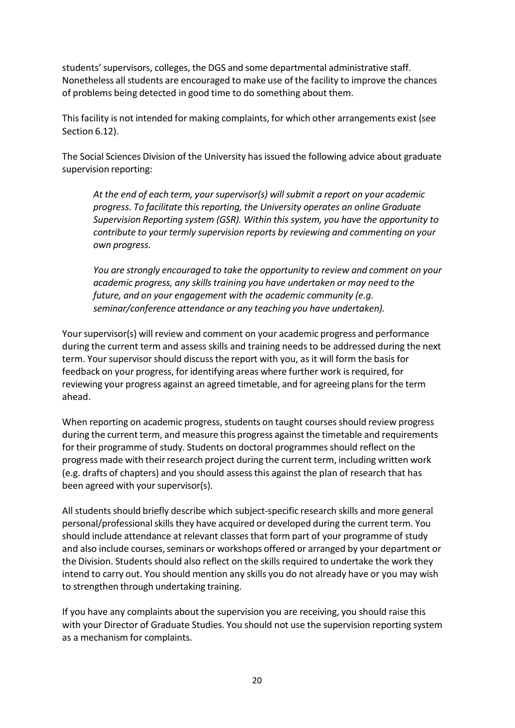students'supervisors, colleges, the DGS and some departmental administrative staff. Nonetheless all students are encouraged to make use of the facility to improve the chances of problems being detected in good time to do something about them.

Thisfacility is not intended for making complaints, for which other arrangements exist (see Section 6.12).

The Social Sciences Division of the University has issued the following advice about graduate supervision reporting:

*At the end of each term, your supervisor(s) will submit a report on your academic progress. To facilitate this reporting, the University operates an online Graduate Supervision Reporting system (GSR). Within this system, you have the opportunity to contribute to your termly supervision reports by reviewing and commenting on your own progress.*

*You are strongly encouraged to take the opportunity to review and comment on your academic progress, any skillstraining you have undertaken or may need to the future, and on your engagement with the academic community (e.g. seminar/conference attendance or any teaching you have undertaken).*

Your supervisor(s) will review and comment on your academic progress and performance during the current term and assess skills and training needsto be addressed during the next term. Your supervisor should discuss the report with you, as it will form the basis for feedback on your progress, for identifying areas where further work isrequired, for reviewing your progress against an agreed timetable, and for agreeing plans for the term ahead.

When reporting on academic progress, students on taught courses should review progress during the current term, and measure this progress against the timetable and requirements for their programme of study. Students on doctoral programmes should reflect on the progress made with their research project during the current term, including written work (e.g. drafts of chapters) and you should assessthis against the plan of research that has been agreed with your supervisor(s).

All students should briefly describe which subject-specific research skills and more general personal/professional skills they have acquired or developed during the current term. You should include attendance at relevant classesthat form part of your programme of study and also include courses, seminars or workshops offered or arranged by your department or the Division. Students should also reflect on the skills required to undertake the work they intend to carry out. You should mention any skills you do not already have or you may wish to strengthen through undertaking training.

If you have any complaints about the supervision you are receiving, you should raise this with your Director of Graduate Studies. You should not use the supervision reporting system as a mechanism for complaints.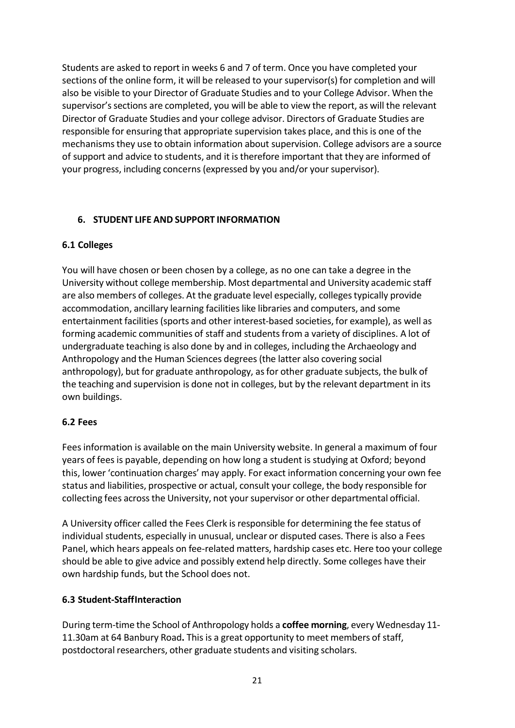Students are asked to report in weeks 6 and 7 of term. Once you have completed your sections of the online form, it will be released to your supervisor(s) for completion and will also be visible to your Director of Graduate Studies and to your College Advisor. When the supervisor's sections are completed, you will be able to view the report, as will the relevant Director of Graduate Studies and your college advisor. Directors of Graduate Studies are responsible for ensuring that appropriate supervision takes place, and this is one of the mechanismsthey use to obtain information about supervision. College advisors are a source of support and advice to students, and it istherefore important that they are informed of your progress, including concerns (expressed by you and/or your supervisor).

# <span id="page-20-0"></span>**6. STUDENT LIFE AND SUPPORT INFORMATION**

# <span id="page-20-1"></span>**6.1 Colleges**

You will have chosen or been chosen by a college, as no one can take a degree in the University without college membership. Most departmental and University academic staff are also members of colleges. At the graduate level especially, colleges typically provide accommodation, ancillary learning facilities like libraries and computers, and some entertainment facilities (sports and other interest-based societies, for example), as well as forming academic communities of staff and students from a variety of disciplines. A lot of undergraduate teaching is also done by and in colleges, including the Archaeology and Anthropology and the Human Sciences degrees(the latter also covering social anthropology), but for graduate anthropology, asfor other graduate subjects, the bulk of the teaching and supervision is done not in colleges, but by the relevant department in its own buildings.

# <span id="page-20-2"></span>**6.2 Fees**

Fees information is available on the main University website. In general a maximum of four years of feesis payable, depending on how long a student is studying at Oxford; beyond this, lower 'continuation charges' may apply. For exact information concerning your own fee status and liabilities, prospective or actual, consult your college, the body responsible for collecting fees across the University, not your supervisor or other departmental official.

A University officer called the Fees Clerk is responsible for determining the fee status of individual students, especially in unusual, unclear or disputed cases. There is also a Fees Panel, which hears appeals on fee-related matters, hardship cases etc. Here too your college should be able to give advice and possibly extend help directly. Some colleges have their own hardship funds, but the School does not.

# <span id="page-20-3"></span>**6.3 Student-StaffInteraction**

During term-time the School of Anthropology holds a **coffee morning**, every Wednesday 11- 11.30am at 64 Banbury Road**.** This is a great opportunity to meet members of staff, postdoctoral researchers, other graduate students and visiting scholars.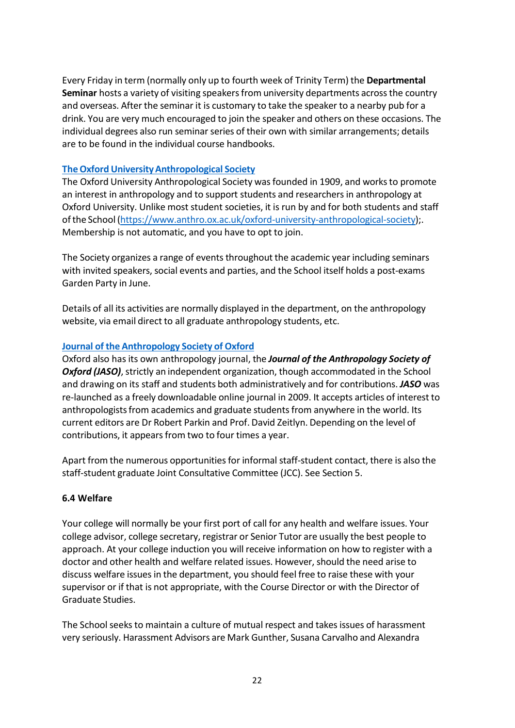Every Friday in term (normally only up to fourth week of Trinity Term) the **Departmental Seminar** hosts a variety of visiting speakers from university departments across the country and overseas. After the seminar it is customary to take the speaker to a nearby pub for a drink. You are very much encouraged to join the speaker and others on these occasions. The individual degrees also run seminar series of their own with similar arrangements; details are to be found in the individual course handbooks.

# **[TheOxfordUniversityAnthropological](https://www.anthro.ox.ac.uk/oxford-university-anthropological-society) Society**

The Oxford University Anthropological Society was founded in 1909, and works to promote an interest in anthropology and to support students and researchersin anthropology at Oxford University. Unlike most student societies, it is run by and for both students and staff ofthe School [\(https://www.anthro.ox.ac.uk/oxford-university-anthropological-society\)](https://www.anthro.ox.ac.uk/oxford-university-anthropological-society);. Membership is not automatic, and you have to opt to join.

The Society organizes a range of events throughout the academic year including seminars with invited speakers, social events and parties, and the School itself holds a post-exams Garden Party in June.

Details of all its activities are normally displayed in the department, on the anthropology website, via email direct to all graduate anthropology students, etc.

# **Journal of the [Anthropology](https://www.anthro.ox.ac.uk/jaso) Society of Oxford**

Oxford also has its own anthropology journal, the *Journal of the Anthropology Society of* **Oxford (JASO)**, strictly an independent organization, though accommodated in the School and drawing on its staff and students both administratively and for contributions. *JASO* was re-launched as a freely downloadable online journal in 2009. It accepts articles of interest to anthropologists from academics and graduate students from anywhere in the world. Its current editors are Dr Robert Parkin and Prof. David Zeitlyn. Depending on the level of contributions, it appears from two to four times a year.

Apart from the numerous opportunitiesfor informal staff-student contact, there is also the staff-student graduate Joint Consultative Committee (JCC). See Section 5.

# <span id="page-21-0"></span>**6.4 Welfare**

Your college will normally be your first port of call for any health and welfare issues. Your college advisor, college secretary, registrar or Senior Tutor are usually the best people to approach. At your college induction you will receive information on how to register with a doctor and other health and welfare related issues. However, should the need arise to discuss welfare issuesin the department, you should feel free to raise these with your supervisor or if that is not appropriate, with the Course Director or with the Director of Graduate Studies.

The School seeks to maintain a culture of mutual respect and takes issues of harassment very seriously. Harassment Advisors are Mark Gunther, Susana Carvalho and Alexandra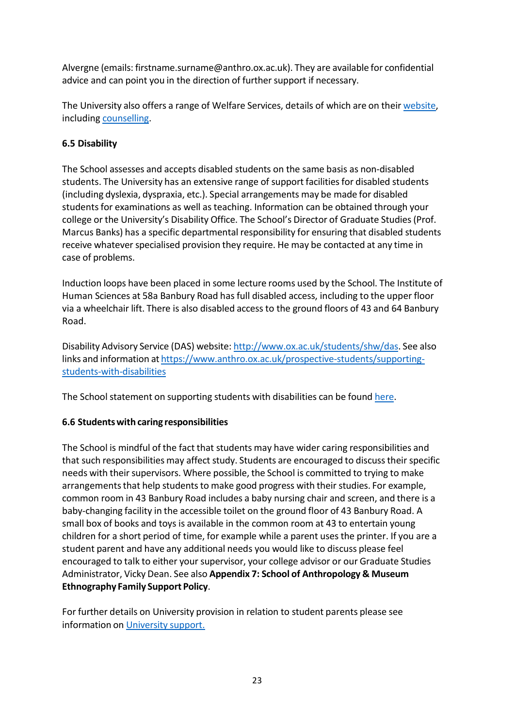Alvergne (emails: firstname.surname@anthro.ox.ac.uk). They are available for confidential advice and can point you in the direction of further support if necessary.

The University also offers a range of Welfare Services, details of which are on their [website,](http://www.ox.ac.uk/students/welfare) including [counselling.](https://www.ox.ac.uk/students/welfare/counselling?wssl=1)

# <span id="page-22-0"></span>**6.5 Disability**

The School assesses and accepts disabled students on the same basis as non-disabled students. The University has an extensive range of support facilities for disabled students (including dyslexia, dyspraxia, etc.). Special arrangements may be made for disabled students for examinations as well as teaching. Information can be obtained through your college or the University's Disability Office. The School's Director of Graduate Studies(Prof. Marcus Banks) has a specific departmental responsibility for ensuring that disabled students receive whatever specialised provision they require. He may be contacted at any time in case of problems.

Induction loops have been placed in some lecture rooms used by the School. The Institute of Human Sciences at 58a Banbury Road has full disabled access, including to the upper floor via a wheelchair lift. There is also disabled access to the ground floors of 43 and 64 Banbury Road.

Disability Advisory Service (DAS) website: [http://www.ox.ac.uk/students/shw/das.](http://www.ox.ac.uk/students/shw/das) See also links and information at [https://www.anthro.ox.ac.uk/prospective-students/supporting](https://www.anthro.ox.ac.uk/prospective-students/supporting-students-with-disabilities)[students-with-disabilities](https://www.anthro.ox.ac.uk/prospective-students/supporting-students-with-disabilities)

The School statement on supporting students with disabilities can be found [here.](https://www.anthro.ox.ac.uk/prospective-students/supporting-students-with-disabilities)

# <span id="page-22-1"></span>**6.6 Studentswith caring responsibilities**

The School is mindful of the fact that students may have wider caring responsibilities and that such responsibilities may affect study. Students are encouraged to discuss their specific needs with their supervisors. Where possible, the School is committed to trying to make arrangements that help students to make good progress with their studies. For example, common room in 43 Banbury Road includes a baby nursing chair and screen, and there is a baby-changing facility in the accessible toilet on the ground floor of 43 Banbury Road. A small box of books and toys is available in the common room at 43 to entertain young children for a short period of time, for example while a parent uses the printer. If you are a student parent and have any additional needs you would like to discuss please feel encouraged to talk to either your supervisor, your college advisor or our Graduate Studies Administrator, Vicky Dean. See also **Appendix 7: School of Anthropology & Museum Ethnography Family Support Policy**.

For further details on University provision in relation to student parents please see information on [University](https://www.ox.ac.uk/students/welfare/childcare?wssl=1) support.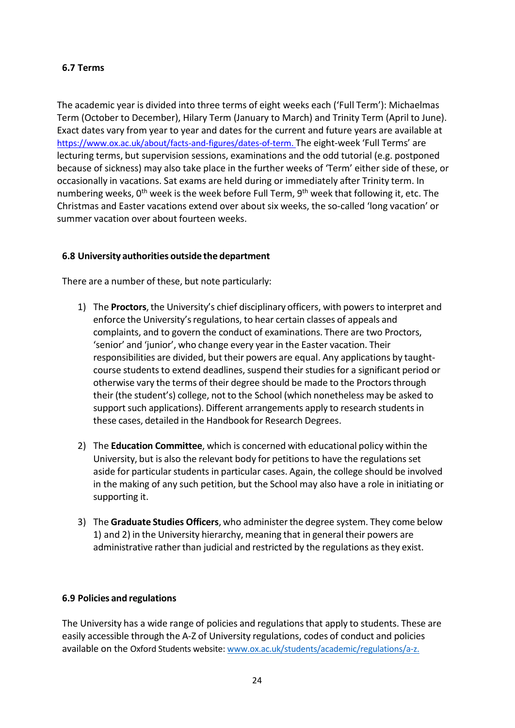# <span id="page-23-0"></span>**6.7 Terms**

The academic year is divided into three terms of eight weeks each ('Full Term'): Michaelmas Term (October to December), Hilary Term (January to March) and Trinity Term (April to June). Exact dates vary from year to year and dates for the current and future years are available at [https://www.ox.ac.uk/about/facts-and-figures/dates-of-term.](https://www.ox.ac.uk/about/facts-and-figures/dates-of-term) The eight-week 'Full Terms' are lecturing terms, but supervision sessions, examinations and the odd tutorial (e.g. postponed because of sickness) may also take place in the further weeks of 'Term' either side of these, or occasionally in vacations. Sat exams are held during or immediately after Trinity term. In numbering weeks, 0<sup>th</sup> week is the week before Full Term, 9<sup>th</sup> week that following it, etc. The Christmas and Easter vacations extend over about six weeks, the so-called 'long vacation' or summer vacation over about fourteen weeks.

# <span id="page-23-1"></span>**6.8 University authorities outside the department**

There are a number of these, but note particularly:

- 1) The **Proctors**, the University's chief disciplinary officers, with powers to interpret and enforce the University's regulations, to hear certain classes of appeals and complaints, and to govern the conduct of examinations. There are two Proctors, 'senior' and 'junior', who change every year in the Easter vacation. Their responsibilities are divided, but their powers are equal. Any applications by taughtcourse students to extend deadlines, suspend their studies for a significant period or otherwise vary the terms of their degree should be made to the Proctorsthrough their (the student's) college, not to the School (which nonetheless may be asked to support such applications). Different arrangements apply to research students in these cases, detailed in the Handbook for Research Degrees.
- 2) The **Education Committee**, which is concerned with educational policy within the University, but is also the relevant body for petitionsto have the regulations set aside for particular students in particular cases. Again, the college should be involved in the making of any such petition, but the School may also have a role in initiating or supporting it.
- 3) The **Graduate Studies Officers**, who administerthe degree system. They come below 1) and 2) in the University hierarchy, meaning that in general their powers are administrative rather than judicial and restricted by the regulations as they exist.

# <span id="page-23-2"></span>**6.9 Policies and regulations**

The University has a wide range of policies and regulationsthat apply to students. These are easily accessible through the A-Z of University regulations, codes of conduct and policies available on the Oxford Students website: [www.ox.ac.uk/students/academic/regulations/a-z.](http://www.ox.ac.uk/students/academic/regulations/a-z)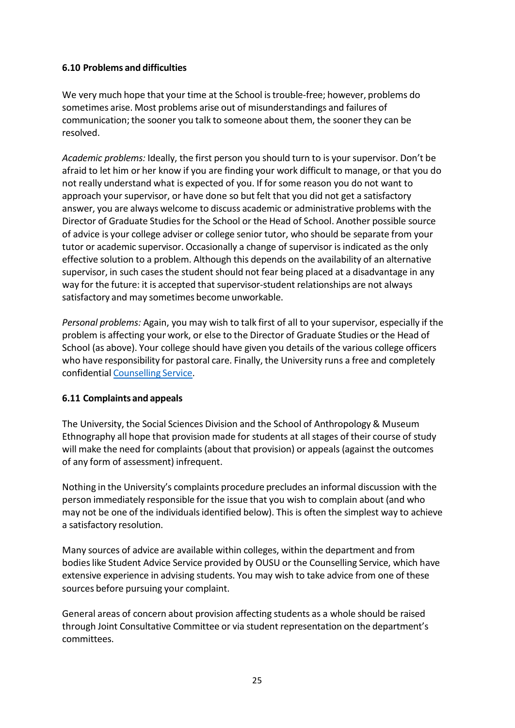# <span id="page-24-0"></span>**6.10 Problems and difficulties**

We very much hope that your time at the School istrouble-free; however, problems do sometimes arise. Most problems arise out of misunderstandings and failures of communication; the sooner you talk to someone about them, the sooner they can be resolved.

*Academic problems:* Ideally, the first person you should turn to is your supervisor. Don't be afraid to let him or her know if you are finding your work difficult to manage, or that you do not really understand what is expected of you. If for some reason you do not want to approach your supervisor, or have done so but felt that you did not get a satisfactory answer, you are always welcome to discuss academic or administrative problems with the Director of Graduate Studies for the School or the Head of School. Another possible source of advice is your college adviser or college senior tutor, who should be separate from your tutor or academic supervisor. Occasionally a change of supervisor is indicated asthe only effective solution to a problem. Although this depends on the availability of an alternative supervisor, in such casesthe student should not fear being placed at a disadvantage in any way for the future: it is accepted that supervisor-student relationships are not always satisfactory and may sometimes become unworkable.

*Personal problems:* Again, you may wish to talk first of all to your supervisor, especially if the problem is affecting your work, or else to the Director of Graduate Studies or the Head of School (as above). Your college should have given you details of the various college officers who have responsibility for pastoral care. Finally, the University runs a free and completely confidential [Counselling](https://www.ox.ac.uk/students/welfare/counselling?wssl=1) Service.

# <span id="page-24-1"></span>**6.11 Complaints and appeals**

The University, the Social Sciences Division and the School of Anthropology & Museum Ethnography all hope that provision made for students at allstages of their course of study will make the need for complaints (about that provision) or appeals (against the outcomes of any form of assessment) infrequent.

Nothing in the University's complaints procedure precludes an informal discussion with the person immediately responsible for the issue that you wish to complain about (and who may not be one of the individuals identified below). This is often the simplest way to achieve a satisfactory resolution.

Many sources of advice are available within colleges, within the department and from bodies like Student Advice Service provided by OUSU or the Counselling Service, which have extensive experience in advising students. You may wish to take advice from one of these sources before pursuing your complaint.

General areas of concern about provision affecting students as a whole should be raised through Joint Consultative Committee or via student representation on the department's committees.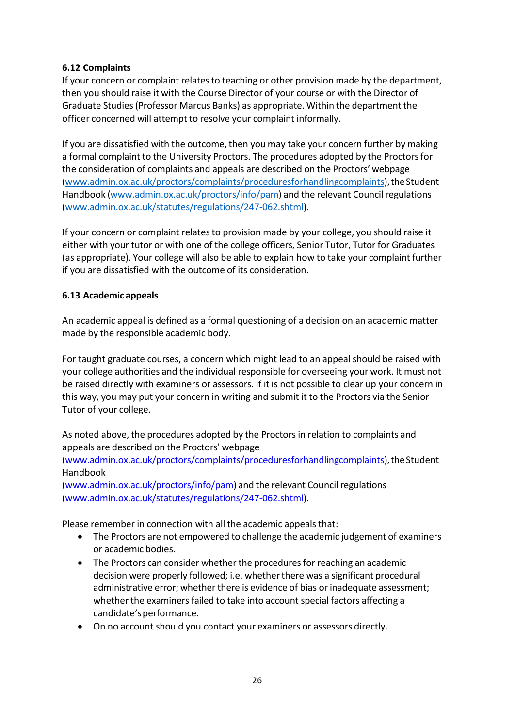# <span id="page-25-0"></span>**6.12 Complaints**

If your concern or complaint relates to teaching or other provision made by the department, then you should raise it with the Course Director of your course or with the Director of Graduate Studies(Professor Marcus Banks) as appropriate. Within the departmentthe officer concerned will attempt to resolve your complaint informally.

If you are dissatisfied with the outcome, then you may take your concern further by making a formal complaint to the University Proctors. The procedures adopted by the Proctorsfor the consideration of complaints and appeals are described on the Proctors' webpage [\(www.admin.ox.ac.uk/proctors/complaints/proceduresforhandlingcomplaints\)](file://Anthro-File/Academic_Admin$/Academic%20Coordinator/Handbooks/Handbooks%202019-20/www.admin.ox.ac.uk/proctors/complaints/proceduresforhandlingcomplaints), the Student Handbook [\(www.admin.ox.ac.uk/proctors/info/pam\)](file://Anthro-File/Academic_Admin$/Academic%20Coordinator/Handbooks/Handbooks%202019-20/www.admin.ox.ac.uk/proctors/info/pam) and the relevant Council regulations [\(www.admin.ox.ac.uk/statutes/regulations/247-062.shtml\)](http://www.admin.ox.ac.uk/statutes/regulations/247-062.shtml).

If your concern or complaint relates to provision made by your college, you should raise it either with your tutor or with one of the college officers, Senior Tutor, Tutor for Graduates (as appropriate). Your college will also be able to explain how to take your complaint further if you are dissatisfied with the outcome of its consideration.

# <span id="page-25-1"></span>**6.13 Academic appeals**

An academic appeal is defined as a formal questioning of a decision on an academic matter made by the responsible academic body.

For taught graduate courses, a concern which might lead to an appeal should be raised with your college authorities and the individual responsible for overseeing your work. It must not be raised directly with examiners or assessors. If it is not possible to clear up your concern in this way, you may put your concern in writing and submit it to the Proctors via the Senior Tutor of your college.

As noted above, the procedures adopted by the Proctors in relation to complaints and appeals are described on the Proctors' webpage

(www.admin.ox.ac.uk/proctors/complaints/proceduresforhandlingcomplaints), the Student Handbook

[\(www.admin.ox.ac.uk/proctors/info/pam\)](http://www.admin.ox.ac.uk/proctors/info/pam)) and the relevant Council regulations [\(www.admin.ox.ac.uk/statutes/regulations/247-062.shtml\).](http://www.admin.ox.ac.uk/statutes/regulations/247-062.shtml))

Please remember in connection with all the academic appeals that:

- The Proctors are not empowered to challenge the academic judgement of examiners or academic bodies.
- The Proctors can consider whether the procedures for reaching an academic decision were properly followed; i.e. whether there was a significant procedural administrative error; whether there is evidence of bias or inadequate assessment; whether the examiners failed to take into account special factors affecting a candidate'sperformance.
- On no account should you contact your examiners or assessors directly.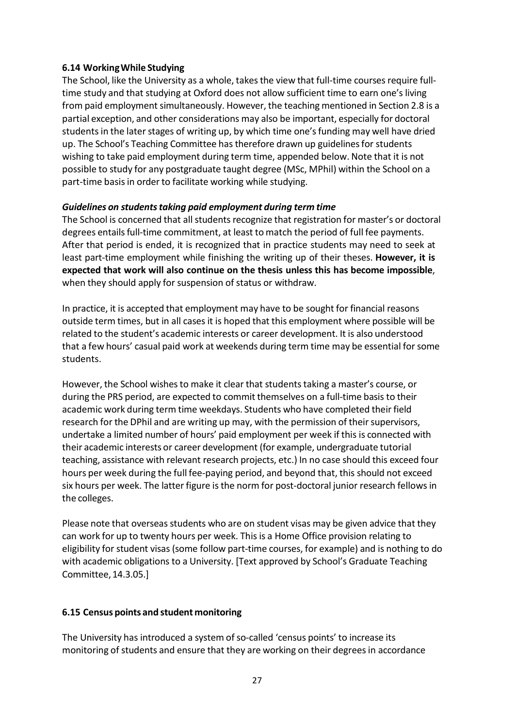### <span id="page-26-0"></span>**6.14 WorkingWhile Studying**

The School, like the University as a whole, takesthe view that full-time courses require fulltime study and that studying at Oxford does not allow sufficient time to earn one's living from paid employment simultaneously. However, the teaching mentioned in Section 2.8 is a partial exception, and other considerations may also be important, especially for doctoral students in the later stages of writing up, by which time one's funding may well have dried up. The School's Teaching Committee hastherefore drawn up guidelinesfor students wishing to take paid employment during term time, appended below. Note that it is not possible to study for any postgraduate taught degree (MSc, MPhil) within the School on a part-time basis in order to facilitate working while studying.

### *Guidelines on studentstaking paid employment during term time*

The School is concerned that all students recognize that registration for master's or doctoral degrees entails full-time commitment, at least to match the period of full fee payments. After that period is ended, it is recognized that in practice students may need to seek at least part-time employment while finishing the writing up of their theses. **However, it is expected that work will also continue on the thesis unless this has become impossible**, when they should apply for suspension of status or withdraw.

In practice, it is accepted that employment may have to be sought for financial reasons outside term times, but in all casesit is hoped that this employment where possible will be related to the student's academic interests or career development. It is also understood that a few hours' casual paid work at weekends during term time may be essential forsome students.

However, the School wishes to make it clear that students taking a master's course, or during the PRS period, are expected to commit themselves on a full-time basis to their academic work during term time weekdays. Students who have completed their field research for the DPhil and are writing up may, with the permission of their supervisors, undertake a limited number of hours' paid employment per week if this is connected with their academic interests or career development (for example, undergraduate tutorial teaching, assistance with relevant research projects, etc.) In no case should this exceed four hours per week during the full fee-paying period, and beyond that, this should not exceed six hours per week. The latter figure is the norm for post-doctoral junior research fellows in the colleges.

Please note that overseas students who are on student visas may be given advice that they can work for up to twenty hours per week. Thisis a Home Office provision relating to eligibility for student visas (some follow part-time courses, for example) and is nothing to do with academic obligations to a University. [Text approved by School's Graduate Teaching Committee,14.3.05.]

# <span id="page-26-1"></span>**6.15 Census points and student monitoring**

The University has introduced a system of so-called 'census points' to increase its monitoring of students and ensure that they are working on their degrees in accordance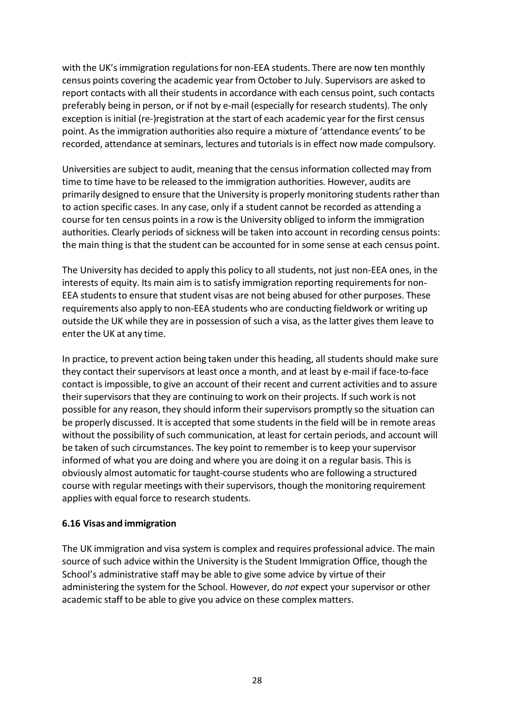with the UK's immigration regulations for non-EEA students. There are now ten monthly census points covering the academic year from October to July. Supervisors are asked to report contacts with all their studentsin accordance with each census point, such contacts preferably being in person, or if not by e-mail (especially for research students). The only exception is initial (re-)registration at the start of each academic year for the first census point. Asthe immigration authorities also require a mixture of 'attendance events' to be recorded, attendance at seminars, lectures and tutorials is in effect now made compulsory.

Universities are subject to audit, meaning that the censusinformation collected may from time to time have to be released to the immigration authorities. However, audits are primarily designed to ensure that the University is properly monitoring students rather than to action specific cases. In any case, only if a student cannot be recorded as attending a course for ten census points in a row is the University obliged to inform the immigration authorities. Clearly periods of sickness will be taken into account in recording census points: the main thing is that the student can be accounted for in some sense at each census point.

The University has decided to apply this policy to all students, not just non-EEA ones, in the interests of equity. Its main aim is to satisfy immigration reporting requirements for non-EEA students to ensure that student visas are not being abused for other purposes. These requirements also apply to non-EEA students who are conducting fieldwork or writing up outside the UK while they are in possession of such a visa, asthe latter gives them leave to enter the UK at any time.

In practice, to prevent action being taken under this heading, all students should make sure they contact their supervisors at least once a month, and at least by e-mail if face-to-face contact is impossible, to give an account of their recent and current activities and to assure their supervisors that they are continuing to work on their projects. If such work is not possible for any reason, they should inform their supervisors promptly so the situation can be properly discussed. It is accepted that some students in the field will be in remote areas without the possibility of such communication, at least for certain periods, and account will be taken of such circumstances. The key point to remember is to keep your supervisor informed of what you are doing and where you are doing it on a regular basis. This is obviously almost automatic for taught-course students who are following a structured course with regular meetings with their supervisors, though the monitoring requirement applies with equal force to research students.

#### <span id="page-27-0"></span>**6.16 Visas and immigration**

The UK immigration and visa system is complex and requires professional advice. The main source of such advice within the University is the Student Immigration Office, though the School's administrative staff may be able to give some advice by virtue of their administering the system for the School. However, do *not* expect your supervisor or other academic staff to be able to give you advice on these complex matters.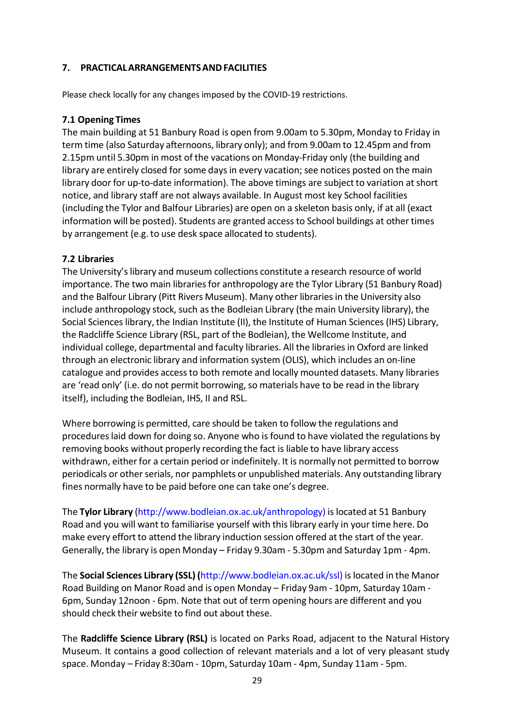### <span id="page-28-0"></span>**7. PRACTICALARRANGEMENTSANDFACILITIES**

Please check locally for any changes imposed by the COVID-19 restrictions.

### <span id="page-28-1"></span>**7.1 Opening Times**

The main building at 51 Banbury Road is open from 9.00am to 5.30pm, Monday to Friday in term time (also Saturday afternoons, library only); and from 9.00am to 12.45pm and from 2.15pm until 5.30pm in most of the vacations on Monday-Friday only (the building and library are entirely closed for some days in every vacation; see notices posted on the main library door for up-to-date information). The above timings are subject to variation at short notice, and library staff are not always available. In August most key School facilities (including the Tylor and Balfour Libraries) are open on a skeleton basis only, if at all (exact information will be posted). Students are granted access to School buildings at other times by arrangement (e.g. to use desk space allocated to students).

### <span id="page-28-2"></span>**7.2 Libraries**

The University's library and museum collections constitute a research resource of world importance. The two main librariesfor anthropology are the Tylor Library (51 Banbury Road) and the Balfour Library (Pitt Rivers Museum). Many other librariesin the University also include anthropology stock, such asthe Bodleian Library (the main University library), the Social Sciences library, the Indian Institute (II), the Institute of Human Sciences (IHS) Library, the Radcliffe Science Library (RSL, part of the Bodleian), the Wellcome Institute, and individual college, departmental and faculty libraries. All the librariesin Oxford are linked through an electronic library and information system (OLIS), which includes an on-line catalogue and provides accessto both remote and locally mounted datasets. Many libraries are 'read only' (i.e. do not permit borrowing, so materials have to be read in the library itself), including the Bodleian, IHS, II and RSL.

Where borrowing is permitted, care should be taken to follow the regulations and procedureslaid down for doing so. Anyone who is found to have violated the regulations by removing books without properly recording the fact is liable to have library access withdrawn, either for a certain period or indefinitely. It is normally not permitted to borrow periodicals or other serials, nor pamphlets or unpublished materials. Any outstanding library fines normally have to be paid before one can take one's degree.

The **Tylor Library** [\(http://www.bodleian.ox.ac.uk/anthropology\)](http://www.bodleian.ox.ac.uk/anthropology)) islocated at 51 Banbury Road and you will want to familiarise yourself with thislibrary early in your time here. Do make every effort to attend the library induction session offered at the start of the year. Generally, the library is open Monday – Friday 9.30am - 5.30pm and Saturday 1pm - 4pm.

The **Social Sciences Library (SSL) (**[http://www.bodleian.ox.ac.uk/ssl\)](http://www.bodleian.ox.ac.uk/ssl)) islocated in the Manor Road Building on Manor Road and is open Monday – Friday 9am - 10pm, Saturday 10am - 6pm, Sunday 12noon - 6pm. Note that out of term opening hours are different and you should check their website to find out about these.

The **Radcliffe Science Library (RSL)** is located on Parks Road, adjacent to the Natural History Museum. It contains a good collection of relevant materials and a lot of very pleasant study space. Monday – Friday 8:30am - 10pm, Saturday 10am - 4pm, Sunday 11am - 5pm.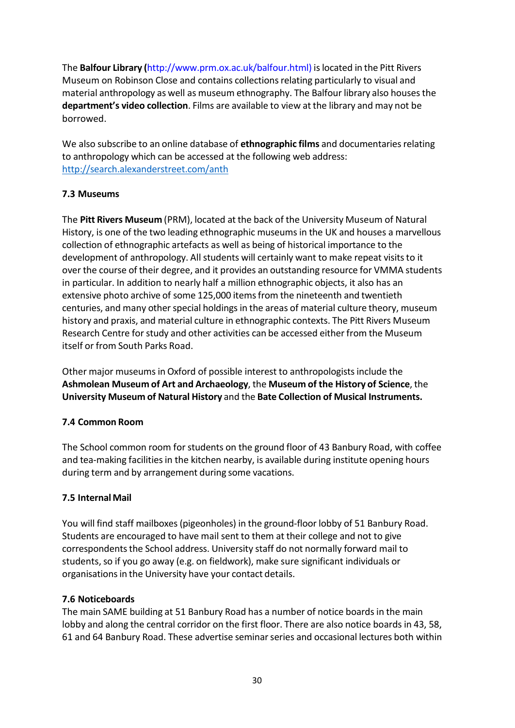The **Balfour Library (**[http://www.prm.ox.ac.uk/balfour.html\)](http://www.prm.ox.ac.uk/balfour.html)) islocated in the Pitt Rivers Museum on Robinson Close and contains collections relating particularly to visual and material anthropology as well as museum ethnography. The Balfour library also housesthe **department's video collection**. Films are available to view at the library and may not be borrowed.

We also subscribe to an online database of **ethnographic films** and documentariesrelating to anthropology which can be accessed at the following web address: <http://search.alexanderstreet.com/anth>

# <span id="page-29-0"></span>**7.3 Museums**

The **Pitt Rivers Museum** (PRM), located at the back of the University Museum of Natural History, is one of the two leading ethnographic museums in the UK and houses a marvellous collection of ethnographic artefacts as well as being of historical importance to the development of anthropology. All students will certainly want to make repeat visits to it over the course of their degree, and it provides an outstanding resource for VMMA students in particular. In addition to nearly half a million ethnographic objects, it also has an extensive photo archive of some 125,000 itemsfrom the nineteenth and twentieth centuries, and many other special holdings in the areas of material culture theory, museum history and praxis, and material culture in ethnographic contexts. The Pitt Rivers Museum Research Centre for study and other activities can be accessed either from the Museum itself or from South Parks Road.

Other major museums in Oxford of possible interest to anthropologists include the **Ashmolean Museum of Art and Archaeology**, the **Museum of the History of Science**, the **University Museum of Natural History** and the **Bate Collection of Musical Instruments.**

# <span id="page-29-1"></span>**7.4 Common Room**

The School common room for students on the ground floor of 43 Banbury Road, with coffee and tea-making facilities in the kitchen nearby, is available during institute opening hours during term and by arrangement during some vacations.

# <span id="page-29-2"></span>**7.5 InternalMail**

You will find staff mailboxes (pigeonholes) in the ground-floor lobby of 51 Banbury Road. Students are encouraged to have mail sent to them at their college and not to give correspondentsthe School address. University staff do not normally forward mail to students, so if you go away (e.g. on fieldwork), make sure significant individuals or organisations in the University have your contact details.

# <span id="page-29-3"></span>**7.6 Noticeboards**

The main SAME building at 51 Banbury Road has a number of notice boards in the main lobby and along the central corridor on the first floor. There are also notice boards in 43, 58, 61 and 64 Banbury Road. These advertise seminarseries and occasional lectures both within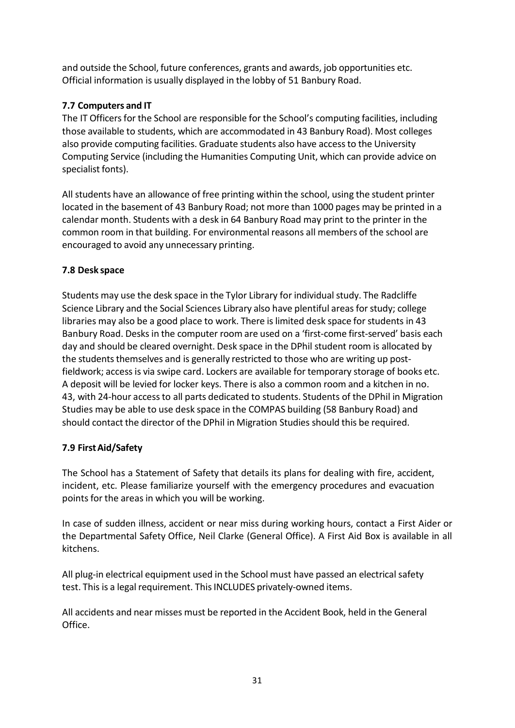and outside the School, future conferences, grants and awards, job opportunities etc. Official information is usually displayed in the lobby of 51 Banbury Road.

# <span id="page-30-0"></span>**7.7 Computers and IT**

The IT Officers for the School are responsible for the School's computing facilities, including those available to students, which are accommodated in 43 Banbury Road). Most colleges also provide computing facilities. Graduate students also have accessto the University Computing Service (including the Humanities Computing Unit, which can provide advice on specialist fonts).

All students have an allowance of free printing within the school, using the student printer located in the basement of 43 Banbury Road; not more than 1000 pages may be printed in a calendar month. Students with a desk in 64 Banbury Road may print to the printer in the common room in that building. For environmental reasons all members of the school are encouraged to avoid any unnecessary printing.

# <span id="page-30-1"></span>**7.8 Desk space**

Students may use the desk space in the Tylor Library for individual study. The Radcliffe Science Library and the Social Sciences Library also have plentiful areas for study; college libraries may also be a good place to work. There is limited desk space for students in 43 Banbury Road. Desks in the computer room are used on a 'first-come first-served' basis each day and should be cleared overnight. Desk space in the DPhil student room is allocated by the students themselves and is generally restricted to those who are writing up postfieldwork; access is via swipe card. Lockers are available for temporary storage of books etc. A deposit will be levied for locker keys. There is also a common room and a kitchen in no. 43, with 24-hour accessto all parts dedicated to students. Students of the DPhil in Migration Studies may be able to use desk space in the COMPAS building (58 Banbury Road) and should contact the director of the DPhil in Migration Studies should this be required.

# <span id="page-30-2"></span>**7.9 FirstAid/Safety**

The School has a Statement of Safety that details its plans for dealing with fire, accident, incident, etc. Please familiarize yourself with the emergency procedures and evacuation points for the areas in which you will be working.

In case of sudden illness, accident or near miss during working hours, contact a First Aider or the Departmental Safety Office, Neil Clarke (General Office). A First Aid Box is available in all kitchens.

All plug-in electrical equipment used in the School must have passed an electrical safety test. This is a legal requirement. This INCLUDES privately-owned items.

All accidents and near misses must be reported in the Accident Book, held in the General Office.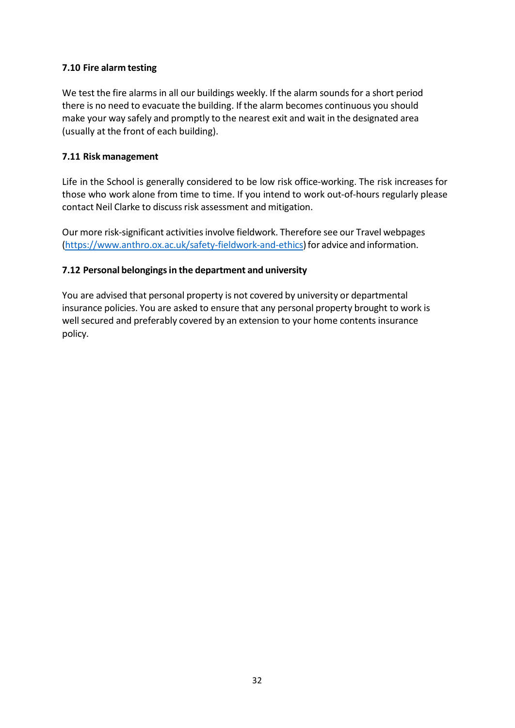# <span id="page-31-0"></span>**7.10 Fire alarm testing**

We test the fire alarms in all our buildings weekly. If the alarm sounds for a short period there is no need to evacuate the building. If the alarm becomes continuous you should make your way safely and promptly to the nearest exit and wait in the designated area (usually at the front of each building).

### <span id="page-31-1"></span>**7.11 Risk management**

Life in the School is generally considered to be low risk office-working. The risk increases for those who work alone from time to time. If you intend to work out-of-hours regularly please contact Neil Clarke to discuss risk assessment and mitigation.

Our more risk-significant activities involve fieldwork. Therefore see our Travel webpages [\(https://www.anthro.ox.ac.uk/safety-fieldwork-and-ethics\)](https://www.anthro.ox.ac.uk/safety-fieldwork-and-ethics)for advice and information.

# <span id="page-31-2"></span>**7.12 Personal belongingsin the department and university**

You are advised that personal property is not covered by university or departmental insurance policies. You are asked to ensure that any personal property brought to work is well secured and preferably covered by an extension to your home contents insurance policy.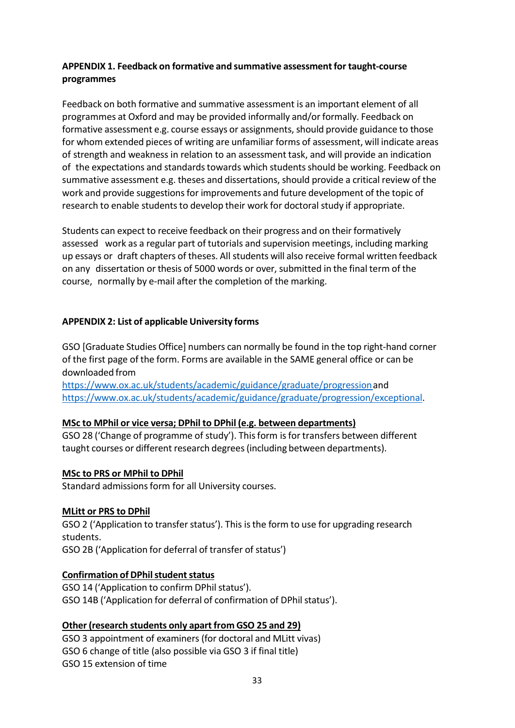# <span id="page-32-0"></span>**APPENDIX 1. Feedback on formative and summative assessmentfor taught-course programmes**

Feedback on both formative and summative assessment is an important element of all programmes at Oxford and may be provided informally and/or formally. Feedback on formative assessment e.g. course essays or assignments, should provide guidance to those for whom extended pieces of writing are unfamiliar forms of assessment, will indicate areas of strength and weakness in relation to an assessment task, and will provide an indication of the expectations and standards towards which students should be working. Feedback on summative assessment e.g. theses and dissertations, should provide a critical review of the work and provide suggestions for improvements and future development of the topic of research to enable students to develop their work for doctoral study if appropriate.

Students can expect to receive feedback on their progress and on their formatively assessed work as a regular part of tutorials and supervision meetings, including marking up essays or draft chapters of theses. All students will also receive formal written feedback on any dissertation or thesis of 5000 words or over, submitted in the final term of the course, normally by e-mail after the completion of the marking.

# <span id="page-32-1"></span>**APPENDIX 2: List of applicable University forms**

GSO [Graduate Studies Office] numbers can normally be found in the top right-hand corner of the first page of the form. Forms are available in the SAME general office or can be downloaded from

[https://www.ox.ac.uk/students/academic/guidance/graduate/progressiona](https://www.ox.ac.uk/students/academic/guidance/graduate/progression)nd [https://www.ox.ac.uk/students/academic/guidance/graduate/progression/exceptional.](https://www.ox.ac.uk/students/academic/guidance/graduate/progression/exceptional)

# **MSc to MPhil or vice versa; DPhil to DPhil (e.g. between departments)**

GSO 28 ('Change of programme of study'). This form is for transfers between different taught courses or different research degrees(including between departments).

# **MSc to PRS or MPhil to DPhil**

Standard admissions form for all University courses.

# **MLitt or PRS to DPhil**

GSO 2 ('Application to transfer status'). This is the form to use for upgrading research students.

GSO 2B ('Application for deferral of transfer of status')

# **Confirmation of DPhil student status**

GSO 14 ('Application to confirm DPhil status'). GSO 14B ('Application for deferral of confirmation of DPhil status').

# **Other (research students only apart from GSO 25 and 29)**

GSO 3 appointment of examiners (for doctoral and MLitt vivas) GSO 6 change of title (also possible via GSO 3 if final title) GSO 15 extension of time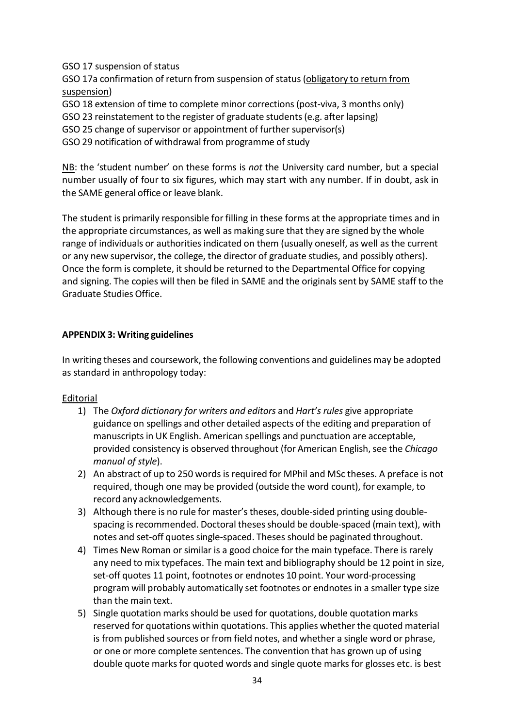GSO 17 suspension of status

GSO 17a confirmation of return from suspension of status (obligatory to return from suspension)

GSO 18 extension of time to complete minor corrections(post-viva, 3 months only)

GSO 23 reinstatement to the register of graduate students(e.g. after lapsing)

GSO 25 change of supervisor or appointment of further supervisor(s)

GSO 29 notification of withdrawal from programme of study

NB: the 'student number' on these forms is *not* the University card number, but a special number usually of four to six figures, which may start with any number. If in doubt, ask in the SAME general office or leave blank.

The student is primarily responsible for filling in these forms at the appropriate times and in the appropriate circumstances, as well as making sure that they are signed by the whole range of individuals or authorities indicated on them (usually oneself, as well as the current or any new supervisor, the college, the director of graduate studies, and possibly others). Once the form is complete, it should be returned to the Departmental Office for copying and signing. The copies will then be filed in SAME and the originals sent by SAME staff to the Graduate Studies Office.

# <span id="page-33-0"></span>**APPENDIX 3: Writing guidelines**

In writing theses and coursework, the following conventions and guidelines may be adopted as standard in anthropology today:

# Editorial

- 1) The *Oxford dictionary for writers and editors* and *Hart's rules* give appropriate guidance on spellings and other detailed aspects of the editing and preparation of manuscripts in UK English. American spellings and punctuation are acceptable, provided consistency is observed throughout (for American English,see the *Chicago manual of style*).
- 2) An abstract of up to 250 words is required for MPhil and MSc theses. A preface is not required, though one may be provided (outside the word count), for example, to record any acknowledgements.
- 3) Although there is no rule for master's theses, double-sided printing using doublespacing is recommended. Doctoral theses should be double-spaced (main text), with notes and set-off quotes single-spaced. Theses should be paginated throughout.
- 4) Times New Roman or similar is a good choice for the main typeface. There is rarely any need to mix typefaces. The main text and bibliography should be 12 point in size, set-off quotes 11 point, footnotes or endnotes 10 point. Your word-processing program will probably automatically set footnotes or endnotes in a smaller type size than the main text.
- 5) Single quotation marks should be used for quotations, double quotation marks reserved for quotations within quotations. This applies whether the quoted material is from published sources or from field notes, and whether a single word or phrase, or one or more complete sentences. The convention that has grown up of using double quote marksfor quoted words and single quote marks for glosses etc. is best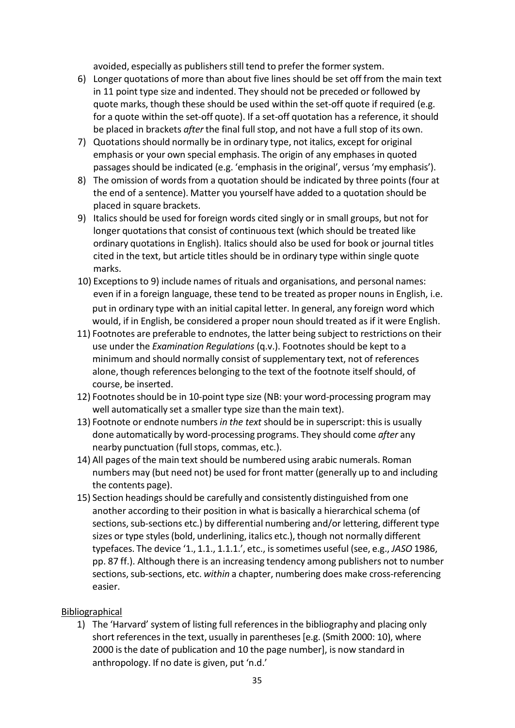avoided, especially as publishers still tend to prefer the former system.

- 6) Longer quotations of more than about five lines should be set off from the main text in 11 point type size and indented. They should not be preceded or followed by quote marks, though these should be used within the set-off quote if required (e.g. for a quote within the set-off quote). If a set-off quotation has a reference, it should be placed in brackets *after* the final full stop, and not have a full stop of its own.
- 7) Quotations should normally be in ordinary type, not italics, except for original emphasis or your own special emphasis. The origin of any emphases in quoted passages should be indicated (e.g. 'emphasis in the original', versus 'my emphasis').
- 8) The omission of words from a quotation should be indicated by three points (four at the end of a sentence). Matter you yourself have added to a quotation should be placed in square brackets.
- 9) Italics should be used for foreign words cited singly or in small groups, but not for longer quotations that consist of continuous text (which should be treated like ordinary quotations in English). Italics should also be used for book or journal titles cited in the text, but article titles should be in ordinary type within single quote marks.
- 10) Exceptions to 9) include names of rituals and organisations, and personal names: even if in a foreign language, these tend to be treated as proper nouns in English, i.e. put in ordinary type with an initial capital letter. In general, any foreign word which would, if in English, be considered a proper noun should treated as if it were English.
- 11) Footnotes are preferable to endnotes, the latter being subject to restrictions on their use under the *Examination Regulations* (q.v.). Footnotes should be kept to a minimum and should normally consist of supplementary text, not of references alone, though references belonging to the text of the footnote itself should, of course, be inserted.
- 12) Footnotes should be in 10-point type size (NB: your word-processing program may well automatically set a smaller type size than the main text).
- 13) Footnote or endnote numbers *in the text* should be in superscript: thisis usually done automatically by word-processing programs. They should come *after* any nearby punctuation (fullstops, commas, etc.).
- 14) All pages of the main text should be numbered using arabic numerals. Roman numbers may (but need not) be used for front matter (generally up to and including the contents page).
- 15) Section headings should be carefully and consistently distinguished from one another according to their position in what is basically a hierarchical schema (of sections, sub-sections etc.) by differential numbering and/or lettering, different type sizes or type styles(bold, underlining, italics etc.), though not normally different typefaces. The device '1., 1.1., 1.1.1.', etc., issometimes useful (see, e.g., *JASO* 1986, pp. 87 ff.). Although there is an increasing tendency among publishers not to number sections, sub-sections, etc. *within* a chapter, numbering does make cross-referencing easier.

# Bibliographical

1) The 'Harvard' system of listing full referencesin the bibliography and placing only short references in the text, usually in parentheses [e.g. (Smith 2000: 10), where 2000 isthe date of publication and 10 the page number], is now standard in anthropology. If no date is given, put 'n.d.'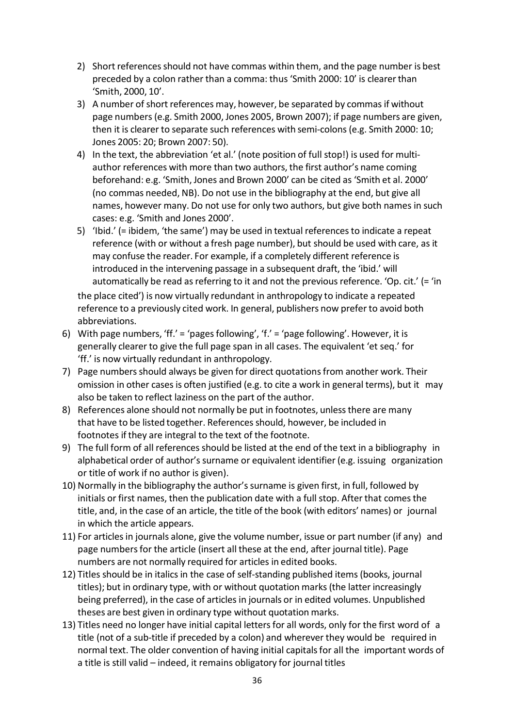- 2) Short references should not have commas within them, and the page number is best preceded by a colon rather than a comma: thus 'Smith 2000: 10' is clearerthan 'Smith, 2000, 10'.
- 3) A number of short references may, however, be separated by commasif without page numbers(e.g. Smith 2000, Jones 2005, Brown 2007); if page numbers are given, then it is clearer to separate such references with semi-colons(e.g. Smith 2000: 10; Jones 2005: 20; Brown 2007: 50).
- 4) In the text, the abbreviation 'et al.' (note position of full stop!) is used for multiauthor references with more than two authors, the first author's name coming beforehand: e.g. 'Smith, Jones and Brown 2000' can be cited as 'Smith et al. 2000' (no commas needed, NB). Do not use in the bibliography at the end, but give all names, however many. Do not use for only two authors, but give both names in such cases: e.g. 'Smith and Jones 2000'.
- 5) 'Ibid.' (= ibidem, 'the same') may be used in textual referencesto indicate a repeat reference (with or without a fresh page number), but should be used with care, as it may confuse the reader. For example, if a completely different reference is introduced in the intervening passage in a subsequent draft, the 'ibid.' will automatically be read as referring to it and not the previous reference. 'Op. cit.' (= 'in the place cited') is now virtually redundant in anthropology to indicate a repeated

reference to a previously cited work. In general, publishers now prefer to avoid both abbreviations.

- 6) With page numbers, 'ff.' = 'pages following', 'f.' = 'page following'. However, it is generally clearer to give the full page span in all cases. The equivalent 'et seq.' for 'ff.' is now virtually redundant in anthropology.
- 7) Page numbers should always be given for direct quotations from another work. Their omission in other cases is often justified (e.g. to cite a work in general terms), but it may also be taken to reflect laziness on the part of the author.
- 8) References alone should not normally be put in footnotes, unlessthere are many that have to be listed together. References should, however, be included in footnotes if they are integral to the text of the footnote.
- 9) The full form of all references should be listed at the end of the text in a bibliography in alphabetical order of author's surname or equivalent identifier (e.g. issuing organization or title of work if no author is given).
- 10) Normally in the bibliography the author's surname is given first, in full, followed by initials or first names, then the publication date with a full stop. After that comes the title, and, in the case of an article, the title of the book (with editors' names) or journal in which the article appears.
- 11) For articlesin journals alone, give the volume number, issue or part number (if any) and page numbers for the article (insert all these at the end, after journal title). Page numbers are not normally required for articles in edited books.
- 12) Titles should be in italics in the case of self-standing published items (books, journal titles); but in ordinary type, with or without quotation marks(the latter increasingly being preferred), in the case of articles in journals or in edited volumes. Unpublished theses are best given in ordinary type without quotation marks.
- 13) Titles need no longer have initial capital letters for all words, only for the first word of a title (not of a sub-title if preceded by a colon) and wherever they would be required in normal text. The older convention of having initial capitalsfor all the important words of a title is still valid – indeed, it remains obligatory for journal titles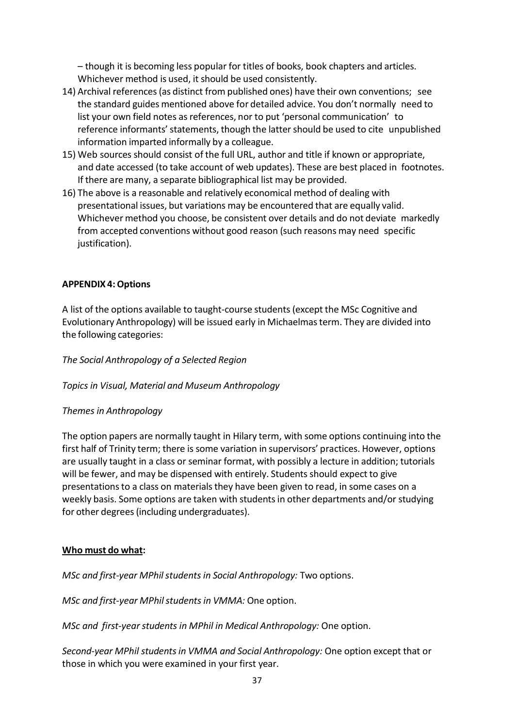– though it is becoming less popular for titles of books, book chapters and articles. Whichever method is used, it should be used consistently.

- 14) Archival references(as distinct from published ones) have their own conventions; see the standard guides mentioned above for detailed advice. You don't normally need to list your own field notes as references, nor to put 'personal communication' to reference informants' statements, though the latter should be used to cite unpublished information imparted informally by a colleague.
- 15) Web sources should consist of the full URL, author and title if known or appropriate, and date accessed (to take account of web updates). These are best placed in footnotes. If there are many, a separate bibliographical list may be provided.
- 16) The above is a reasonable and relatively economical method of dealing with presentational issues, but variations may be encountered that are equally valid. Whichever method you choose, be consistent over details and do not deviate markedly from accepted conventions without good reason (such reasons may need specific justification).

# <span id="page-36-0"></span>**APPENDIX 4:Options**

A list of the options available to taught-course students (except the MSc Cognitive and Evolutionary Anthropology) will be issued early in Michaelmasterm. They are divided into the following categories:

*The Social Anthropology of a Selected Region*

# *Topics in Visual, Material and Museum Anthropology*

# *Themes in Anthropology*

The option papers are normally taught in Hilary term, with some options continuing into the first half of Trinity term; there is some variation in supervisors' practices. However, options are usually taught in a class or seminar format, with possibly a lecture in addition; tutorials will be fewer, and may be dispensed with entirely. Students should expect to give presentationsto a class on materialsthey have been given to read, in some cases on a weekly basis. Some options are taken with studentsin other departments and/or studying for other degrees(including undergraduates).

# **Who must do what:**

*MSc and first-year MPhilstudents in Social Anthropology:* Two options.

*MSc and first-year MPhilstudentsin VMMA:* One option.

*MSc and first-yearstudents in MPhil in Medical Anthropology:* One option.

*Second-year MPhil studentsin VMMA and Social Anthropology:* One option except that or those in which you were examined in your first year.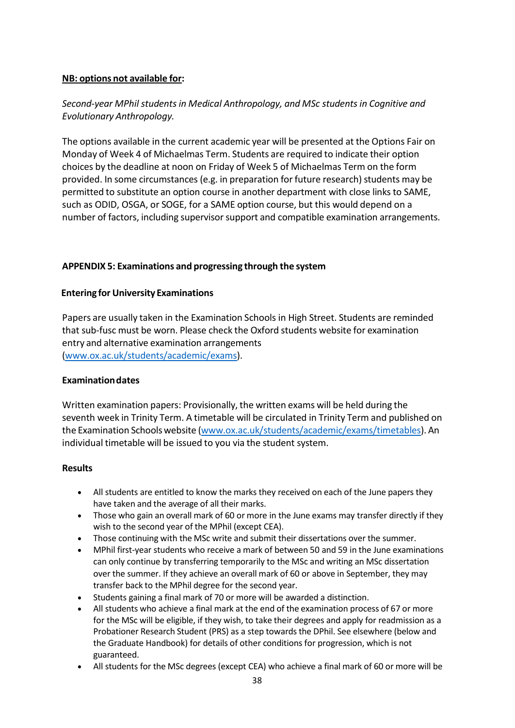### **NB: options not available for:**

# *Second-year MPhil studentsin Medical Anthropology, and MSc studentsin Cognitive and Evolutionary Anthropology.*

The options available in the current academic year will be presented at the Options Fair on Monday of Week 4 of Michaelmas Term. Students are required to indicate their option choices by the deadline at noon on Friday of Week 5 of Michaelmas Term on the form provided. In some circumstances (e.g. in preparation for future research) students may be permitted to substitute an option course in another department with close linksto SAME, such as ODID, OSGA, or SOGE, for a SAME option course, but this would depend on a number of factors, including supervisorsupport and compatible examination arrangements.

### <span id="page-37-0"></span>**APPENDIX 5: Examinations and progressing through the system**

#### **Entering for University Examinations**

Papers are usually taken in the Examination Schools in High Street. Students are reminded that sub-fusc must be worn. Please check the Oxford students website for examination entry and alternative examination arrangements [\(www.ox.ac.uk/students/academic/exams\)](http://www.ox.ac.uk/students/academic/exams).

#### **Examinationdates**

Written examination papers: Provisionally, the written exams will be held during the seventh week in Trinity Term. A timetable will be circulated in Trinity Term and published on the Examination Schoolswebsite [\(www.ox.ac.uk/students/academic/exams/timetables\)](http://www.ox.ac.uk/students/academic/exams/timetables). An individual timetable will be issued to you via the student system.

#### **Results**

- All students are entitled to know the marks they received on each of the June papers they have taken and the average of all their marks.
- Those who gain an overall mark of 60 or more in the June exams may transfer directly if they wish to the second year of the MPhil (except CEA).
- Those continuing with the MSc write and submit their dissertations over the summer.
- MPhil first-year students who receive a mark of between 50 and 59 in the June examinations can only continue by transferring temporarily to the MSc and writing an MSc dissertation over the summer. If they achieve an overall mark of 60 or above in September, they may transfer back to the MPhil degree for the second year.
- Students gaining a final mark of 70 or more will be awarded a distinction.
- All students who achieve a final mark at the end of the examination process of 67 or more for the MSc will be eligible, if they wish, to take their degrees and apply for readmission as a Probationer Research Student (PRS) as a step towards the DPhil. See elsewhere (below and the Graduate Handbook) for details of other conditions for progression, which is not guaranteed.
- All students for the MSc degrees (except CEA) who achieve a final mark of 60 or more will be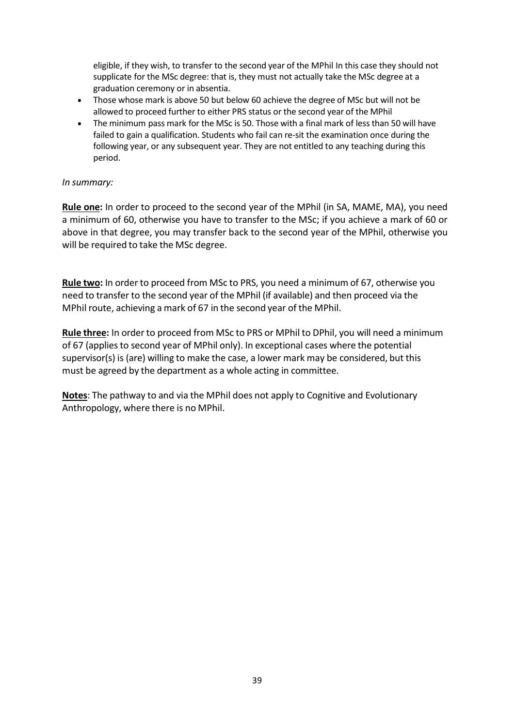eligible, if they wish, to transfer to the second year of the MPhil In this case they should not supplicate for the MSc degree: that is, they must not actually take the MSc degree at a graduation ceremony or in absentia.

- Those whose mark is above 50 but below 60 achieve the degree of MSc but will not be allowed to proceed further to either PRS status or the second year of the MPhil
- The minimum pass mark for the MSc is 50. Those with a final mark of less than 50 will have failed to gain a qualification. Students who fail can re-sit the examination once during the following year, or any subsequent year. They are not entitled to any teaching during this period.

#### *In summary:*

**Rule one:** In order to proceed to the second year of the MPhil (in SA, MAME, MA), you need a minimum of 60, otherwise you have to transfer to the MSc; if you achieve a mark of 60 or above in that degree, you may transfer back to the second year of the MPhil, otherwise you will be required to take the MSc degree.

**Rule two:** In order to proceed from MSc to PRS, you need a minimum of 67, otherwise you need to transfer to the second year of the MPhil (if available) and then proceed via the MPhil route, achieving a mark of 67 in the second year of the MPhil.

**Rule three:** In order to proceed from MSc to PRS or MPhil to DPhil, you will need a minimum of 67 (appliesto second year of MPhil only). In exceptional cases where the potential supervisor(s) is (are) willing to make the case, a lower mark may be considered, but this must be agreed by the department as a whole acting in committee.

**Notes**: The pathway to and via the MPhil does not apply to Cognitive and Evolutionary Anthropology, where there is no MPhil.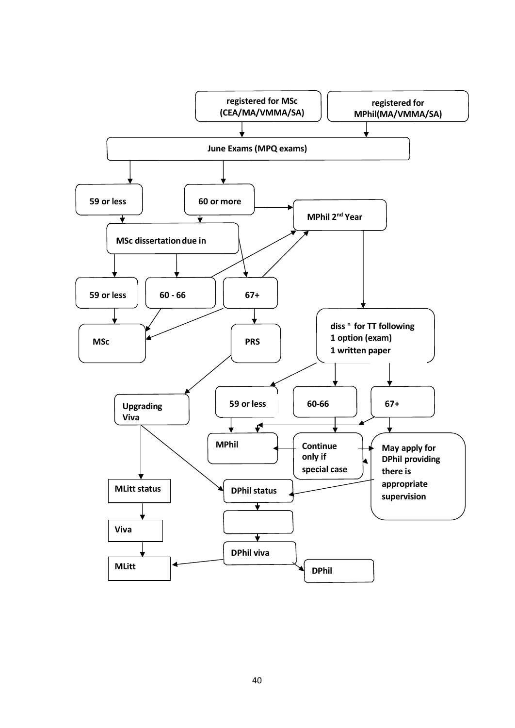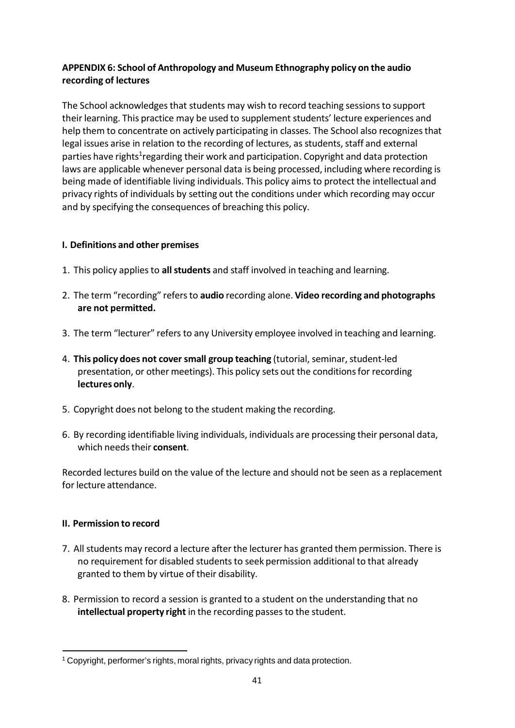# <span id="page-40-0"></span>**APPENDIX 6: School of Anthropology and Museum Ethnography policy on the audio recording of lectures**

The School acknowledges that students may wish to record teaching sessions to support their learning. This practice may be used to supplement students' lecture experiences and help them to concentrate on actively participating in classes. The School also recognizesthat legal issues arise in relation to the recording of lectures, as students, staff and external parties have rights<sup>1</sup>regarding their work and participation. Copyright and data protection laws are applicable whenever personal data is being processed, including where recording is being made of identifiable living individuals. This policy aims to protect the intellectual and privacy rights of individuals by setting out the conditions under which recording may occur and by specifying the consequences of breaching this policy.

# **I. Definitions and other premises**

- 1. This policy appliesto **allstudents** and staff involved in teaching and learning.
- 2. The term "recording" refersto **audio** recording alone. **Video recording and photographs are not permitted.**
- 3. The term "lecturer" refers to any University employee involved in teaching and learning.
- 4. **This policy does not coversmall group teaching** (tutorial,seminar,student-led presentation, or other meetings). This policy sets out the conditions for recording **lectures only**.
- 5. Copyright does not belong to the student making the recording.
- 6. By recording identifiable living individuals, individuals are processing their personal data, which needstheir **consent**.

Recorded lectures build on the value of the lecture and should not be seen as a replacement for lecture attendance.

# **II. Permission to record**

- 7. All students may record a lecture after the lecturer has granted them permission. There is no requirement for disabled students to seek permission additional to that already granted to them by virtue of their disability.
- 8. Permission to record a session is granted to a student on the understanding that no intellectual property right in the recording passes to the student.

<span id="page-40-1"></span><sup>1</sup> Copyright, performer's rights, moral rights, privacy rights and data protection.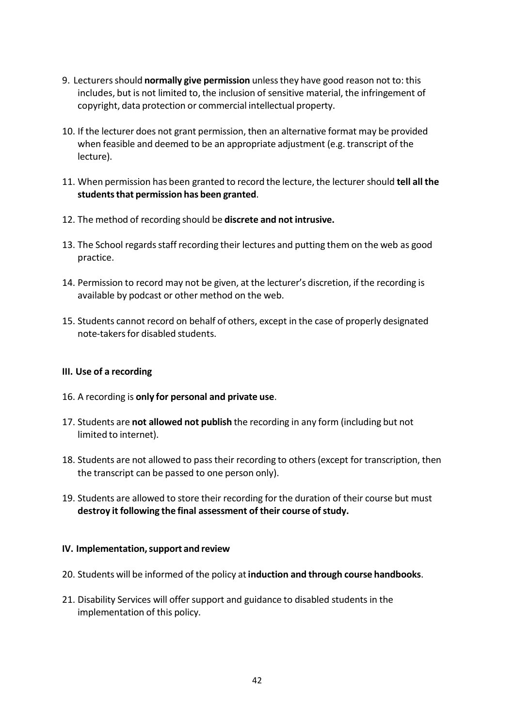- 9. Lecturersshould **normally give permission** unlessthey have good reason not to: this includes, but is not limited to, the inclusion of sensitive material, the infringement of copyright, data protection or commercial intellectual property.
- 10. If the lecturer does not grant permission, then an alternative format may be provided when feasible and deemed to be an appropriate adjustment (e.g. transcript of the lecture).
- 11. When permission has been granted to record the lecture, the lecturer should **tell all the studentsthat permission has been granted**.
- 12. The method of recording should be **discrete and not intrusive.**
- 13. The School regards staff recording their lectures and putting them on the web as good practice.
- 14. Permission to record may not be given, at the lecturer's discretion, if the recording is available by podcast or other method on the web.
- 15. Students cannot record on behalf of others, except in the case of properly designated note-takersfor disabled students.

#### **III. Use of a recording**

- 16. A recording is **only for personal and private use**.
- 17. Students are **not allowed not publish** the recording in any form (including but not limited to internet).
- 18. Students are not allowed to passtheir recording to others(except for transcription, then the transcript can be passed to one person only).
- 19. Students are allowed to store their recording for the duration of their course but must **destroy it following the final assessment of their course ofstudy.**

#### **IV. Implementation,support and review**

- 20. Students will be informed of the policy at**induction and through course handbooks**.
- 21. Disability Services will offer support and guidance to disabled students in the implementation of this policy.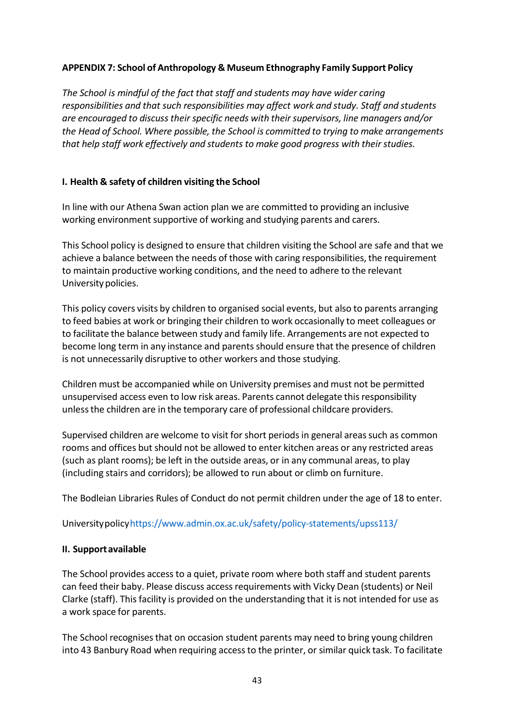### <span id="page-42-0"></span>**APPENDIX 7: School of Anthropology & Museum Ethnography Family Support Policy**

*The School is mindful of the fact that staff and students may have wider caring responsibilities and that such responsibilities may affect work and study. Staff and students are encouraged to discuss their specific needs with their supervisors, line managers and/or the Head of School. Where possible, the School is committed to trying to make arrangements that help staff work effectively and students to make good progress with their studies.*

#### **I. Health & safety of children visiting the School**

In line with our Athena Swan action plan we are committed to providing an inclusive working environment supportive of working and studying parents and carers.

This School policy is designed to ensure that children visiting the School are safe and that we achieve a balance between the needs of those with caring responsibilities, the requirement to maintain productive working conditions, and the need to adhere to the relevant University policies.

This policy covers visits by children to organised social events, but also to parents arranging to feed babies at work or bringing their children to work occasionally to meet colleagues or to facilitate the balance between study and family life. Arrangements are not expected to become long term in any instance and parents should ensure that the presence of children is not unnecessarily disruptive to other workers and those studying.

Children must be accompanied while on University premises and must not be permitted unsupervised access even to low risk areas. Parents cannot delegate thisresponsibility unlessthe children are in the temporary care of professional childcare providers.

Supervised children are welcome to visit for short periods in general areas such as common rooms and offices but should not be allowed to enter kitchen areas or any restricted areas (such as plant rooms); be left in the outside areas, or in any communal areas, to play (including stairs and corridors); be allowed to run about or climb on furniture.

The Bodleian Libraries Rules of Conduct do not permit children under the age of 18 to enter.

Universitypolic[yhttps://www.admin.ox.ac.uk/safety/policy-statements/upss113/](https://www.admin.ox.ac.uk/safety/policy-statements/upss113/)

# **II. Supportavailable**

The School provides access to a quiet, private room where both staff and student parents can feed their baby. Please discuss accessrequirements with Vicky Dean (students) or Neil Clarke (staff). Thisfacility is provided on the understanding that it is not intended for use as a work space for parents.

The School recognisesthat on occasion student parents may need to bring young children into 43 Banbury Road when requiring accessto the printer, or similar quick task. To facilitate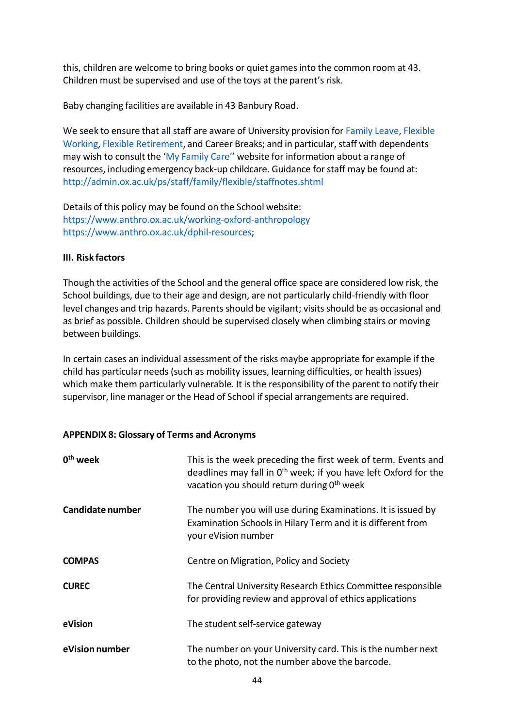this, children are welcome to bring books or quiet gamesinto the common room at 43. Children must be supervised and use of the toys at the parent's risk.

Baby changing facilities are available in 43 Banbury Road.

We seek to ensure that all staff are aware of University provision for [Family](https://www.admin.ox.ac.uk/personnel/during/family/) Leave, [Flexible](file://Anthro-File/Academic_Admin$/Academic%20Coordinator/shil0416/AppData/Local/Microsoft/Windows/INetCache/Content.Outlook/GT6UO8ZU/access%20to%20emergency%20back-up%20childcare) [Working,](file://Anthro-File/Academic_Admin$/Academic%20Coordinator/shil0416/AppData/Local/Microsoft/Windows/INetCache/Content.Outlook/GT6UO8ZU/access%20to%20emergency%20back-up%20childcare) Flexible [Retirement,](http://www.admin.ox.ac.uk/personnel/end/retirement/flexretire/) and Career Breaks; and in particular, staff with dependents may wish to consult the 'My [Family](http://www.admin.ox.ac.uk/personnel/staffinfo/benefits/family/mfc/) Care'' website for information about a range of resources, including emergency back-up childcare. Guidance forstaff may be found at: <http://admin.ox.ac.uk/ps/staff/family/flexible/staffnotes.shtml>

Details of this policy may be found on the School website: <https://www.anthro.ox.ac.uk/working-oxford-anthropology> [https://www.anthro.ox.ac.uk/dphil-resources;](https://www.anthro.ox.ac.uk/dphil-resources)

#### **III. Risk factors**

Though the activities of the School and the general office space are considered low risk, the School buildings, due to their age and design, are not particularly child-friendly with floor level changes and trip hazards. Parents should be vigilant; visits should be as occasional and as brief as possible. Children should be supervised closely when climbing stairs or moving between buildings.

In certain cases an individual assessment of the risks maybe appropriate for example if the child has particular needs (such as mobility issues, learning difficulties, or health issues) which make them particularly vulnerable. It is the responsibility of the parent to notify their supervisor, line manager or the Head of School if special arrangements are required.

#### <span id="page-43-0"></span>**APPENDIX 8: Glossary of Terms and Acronyms**

| 0 <sup>th</sup> week | This is the week preceding the first week of term. Events and<br>deadlines may fall in 0 <sup>th</sup> week; if you have left Oxford for the<br>vacation you should return during 0 <sup>th</sup> week |
|----------------------|--------------------------------------------------------------------------------------------------------------------------------------------------------------------------------------------------------|
| Candidate number     | The number you will use during Examinations. It is issued by<br>Examination Schools in Hilary Term and it is different from<br>your eVision number                                                     |
| <b>COMPAS</b>        | Centre on Migration, Policy and Society                                                                                                                                                                |
| <b>CUREC</b>         | The Central University Research Ethics Committee responsible<br>for providing review and approval of ethics applications                                                                               |
| eVision              | The student self-service gateway                                                                                                                                                                       |
| eVision number       | The number on your University card. This is the number next<br>to the photo, not the number above the barcode.                                                                                         |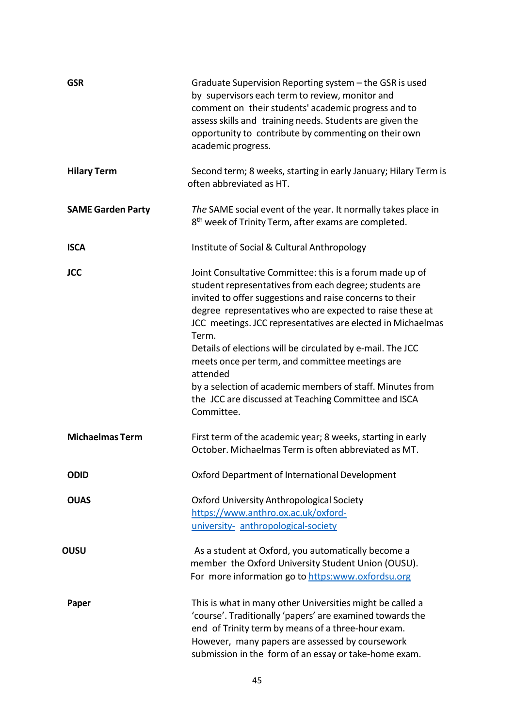| <b>GSR</b>               | Graduate Supervision Reporting system - the GSR is used<br>by supervisors each term to review, monitor and<br>comment on their students' academic progress and to<br>assess skills and training needs. Students are given the<br>opportunity to contribute by commenting on their own<br>academic progress.                                                                                                                                                                                                                                                                         |
|--------------------------|-------------------------------------------------------------------------------------------------------------------------------------------------------------------------------------------------------------------------------------------------------------------------------------------------------------------------------------------------------------------------------------------------------------------------------------------------------------------------------------------------------------------------------------------------------------------------------------|
| <b>Hilary Term</b>       | Second term; 8 weeks, starting in early January; Hilary Term is<br>often abbreviated as HT.                                                                                                                                                                                                                                                                                                                                                                                                                                                                                         |
| <b>SAME Garden Party</b> | The SAME social event of the year. It normally takes place in<br>8 <sup>th</sup> week of Trinity Term, after exams are completed.                                                                                                                                                                                                                                                                                                                                                                                                                                                   |
| <b>ISCA</b>              | Institute of Social & Cultural Anthropology                                                                                                                                                                                                                                                                                                                                                                                                                                                                                                                                         |
| <b>JCC</b>               | Joint Consultative Committee: this is a forum made up of<br>student representatives from each degree; students are<br>invited to offer suggestions and raise concerns to their<br>degree representatives who are expected to raise these at<br>JCC meetings. JCC representatives are elected in Michaelmas<br>Term.<br>Details of elections will be circulated by e-mail. The JCC<br>meets once per term, and committee meetings are<br>attended<br>by a selection of academic members of staff. Minutes from<br>the JCC are discussed at Teaching Committee and ISCA<br>Committee. |
| <b>Michaelmas Term</b>   | First term of the academic year; 8 weeks, starting in early<br>October. Michaelmas Term is often abbreviated as MT.                                                                                                                                                                                                                                                                                                                                                                                                                                                                 |
| <b>ODID</b>              | Oxford Department of International Development                                                                                                                                                                                                                                                                                                                                                                                                                                                                                                                                      |
| <b>OUAS</b>              | Oxford University Anthropological Society<br>https://www.anthro.ox.ac.uk/oxford-<br>university- anthropological-society                                                                                                                                                                                                                                                                                                                                                                                                                                                             |
| OUSU                     | As a student at Oxford, you automatically become a<br>member the Oxford University Student Union (OUSU).<br>For more information go to https:www.oxfordsu.org                                                                                                                                                                                                                                                                                                                                                                                                                       |
| Paper                    | This is what in many other Universities might be called a<br>'course'. Traditionally 'papers' are examined towards the<br>end of Trinity term by means of a three-hour exam.<br>However, many papers are assessed by coursework<br>submission in the form of an essay or take-home exam.                                                                                                                                                                                                                                                                                            |